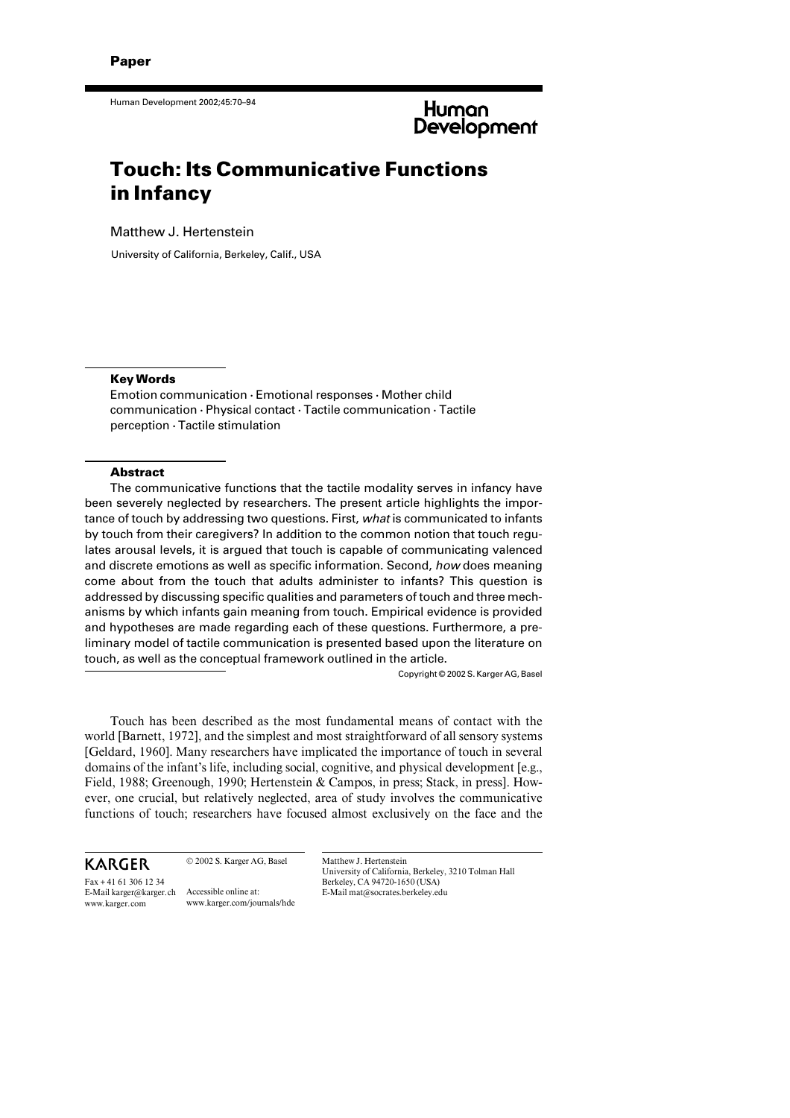Human Development 2002;45:70–94

Human Development

# **Touch: Its Communicative Functions in Infancy**

Matthew J. Hertenstein

University of California, Berkeley, Calif., USA

#### **Key Words**

Emotion communication  $\cdot$  Emotional responses  $\cdot$  Mother child  $common$  . Physical contact  $\cdot$  Tactile communication  $\cdot$  Tactile perception · Tactile stimulation

### **Abstract**

The communicative functions that the tactile modality serves in infancy have been severely neglected by researchers. The present article highlights the importance of touch by addressing two questions. First, *what* is communicated to infants by touch from their caregivers? In addition to the common notion that touch regulates arousal levels, it is argued that touch is capable of communicating valenced and discrete emotions as well as specific information. Second, *how* does meaning come about from the touch that adults administer to infants? This question is addressed by discussing specific qualities and parameters of touch and three mechanisms by which infants gain meaning from touch. Empirical evidence is provided and hypotheses are made regarding each of these questions. Furthermore, a preliminary model of tactile communication is presented based upon the literature on touch, as well as the conceptual framework outlined in the article.

Copyright © 2002 S. Karger AG, Basel

Touch has been described as the most fundamental means of contact with the world [Barnett, 1972], and the simplest and most straightforward of all sensory systems [Geldard, 1960]. Many researchers have implicated the importance of touch in several domains of the infant's life, including social, cognitive, and physical development [e.g., Field, 1988; Greenough, 1990; Hertenstein & Campos, in press; Stack, in press]. However, one crucial, but relatively neglected, area of study involves the communicative functions of touch; researchers have focused almost exclusively on the face and the

**KARGER** 

© 2002 S. Karger AG, Basel

 $Fax + 41613061234$ E-Mail karger@karger.ch www.karger.com

Accessible online at: www.karger.com/journals/hde Matthew J. Hertenstein University of California, Berkeley, 3210 Tolman Hall Berkeley, CA 94720-1650 (USA) E-Mail mat@socrates.berkeley.edu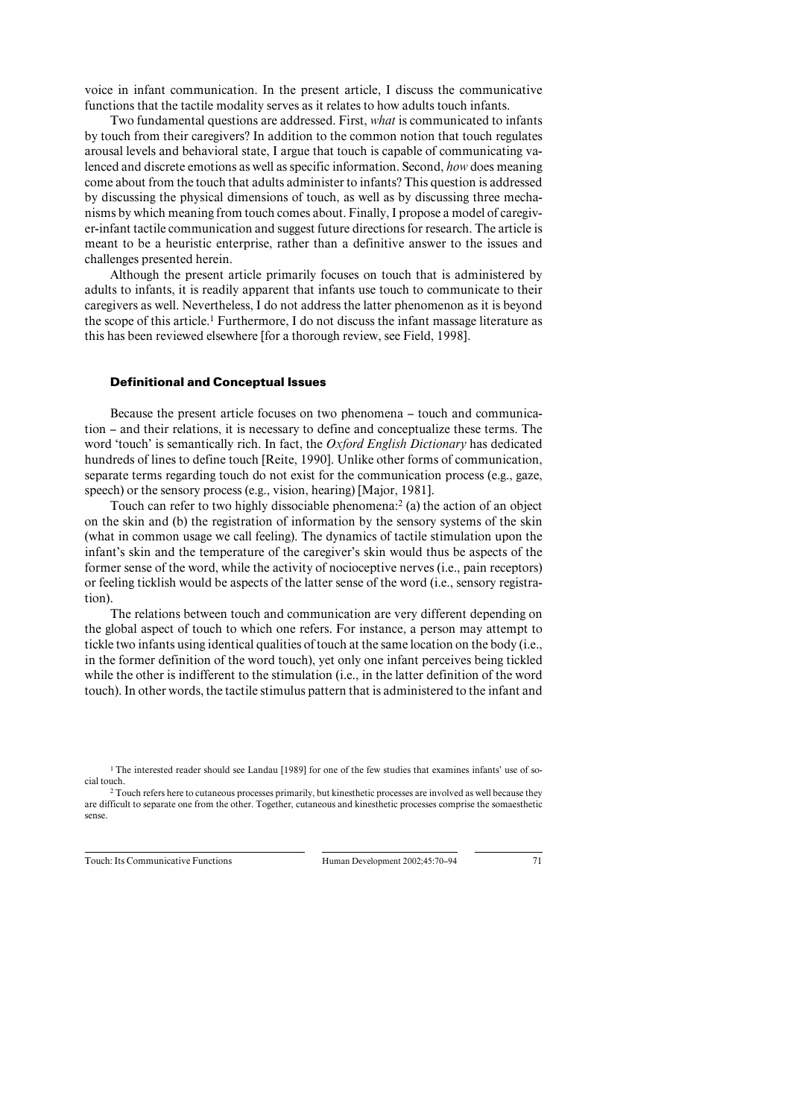voice in infant communication. In the present article, I discuss the communicative functions that the tactile modality serves as it relates to how adults touch infants.

Two fundamental questions are addressed. First, *what* is communicated to infants by touch from their caregivers? In addition to the common notion that touch regulates arousal levels and behavioral state, I argue that touch is capable of communicating valenced and discrete emotions as well as specific information. Second, *how* does meaning come about from the touch that adults administer to infants? This question is addressed by discussing the physical dimensions of touch, as well as by discussing three mechanisms by which meaning from touch comes about. Finally, I propose a model of caregiver-infant tactile communication and suggest future directions for research. The article is meant to be a heuristic enterprise, rather than a definitive answer to the issues and challenges presented herein.

Although the present article primarily focuses on touch that is administered by adults to infants, it is readily apparent that infants use touch to communicate to their caregivers as well. Nevertheless, I do not address the latter phenomenon as it is beyond the scope of this article.1 Furthermore, I do not discuss the infant massage literature as this has been reviewed elsewhere [for a thorough review, see Field, 1998].

#### **Definitional and Conceptual Issues**

Because the present article focuses on two phenomena – touch and communication – and their relations, it is necessary to define and conceptualize these terms. The word 'touch' is semantically rich. In fact, the *Oxford English Dictionary* has dedicated hundreds of lines to define touch [Reite, 1990]. Unlike other forms of communication, separate terms regarding touch do not exist for the communication process (e.g., gaze, speech) or the sensory process (e.g., vision, hearing) [Major, 1981].

Touch can refer to two highly dissociable phenomena:2 (a) the action of an object on the skin and (b) the registration of information by the sensory systems of the skin (what in common usage we call feeling). The dynamics of tactile stimulation upon the infant's skin and the temperature of the caregiver's skin would thus be aspects of the former sense of the word, while the activity of nocioceptive nerves (i.e., pain receptors) or feeling ticklish would be aspects of the latter sense of the word (i.e., sensory registration).

The relations between touch and communication are very different depending on the global aspect of touch to which one refers. For instance, a person may attempt to tickle two infants using identical qualities of touch at the same location on the body (i.e., in the former definition of the word touch), yet only one infant perceives being tickled while the other is indifferent to the stimulation (i.e., in the latter definition of the word touch). In other words, the tactile stimulus pattern that is administered to the infant and

<sup>&</sup>lt;sup>1</sup> The interested reader should see Landau [1989] for one of the few studies that examines infants' use of social touch.

<sup>2</sup> Touch refers here to cutaneous processes primarily, but kinesthetic processes are involved as well because they are difficult to separate one from the other. Together, cutaneous and kinesthetic processes comprise the somaesthetic sense.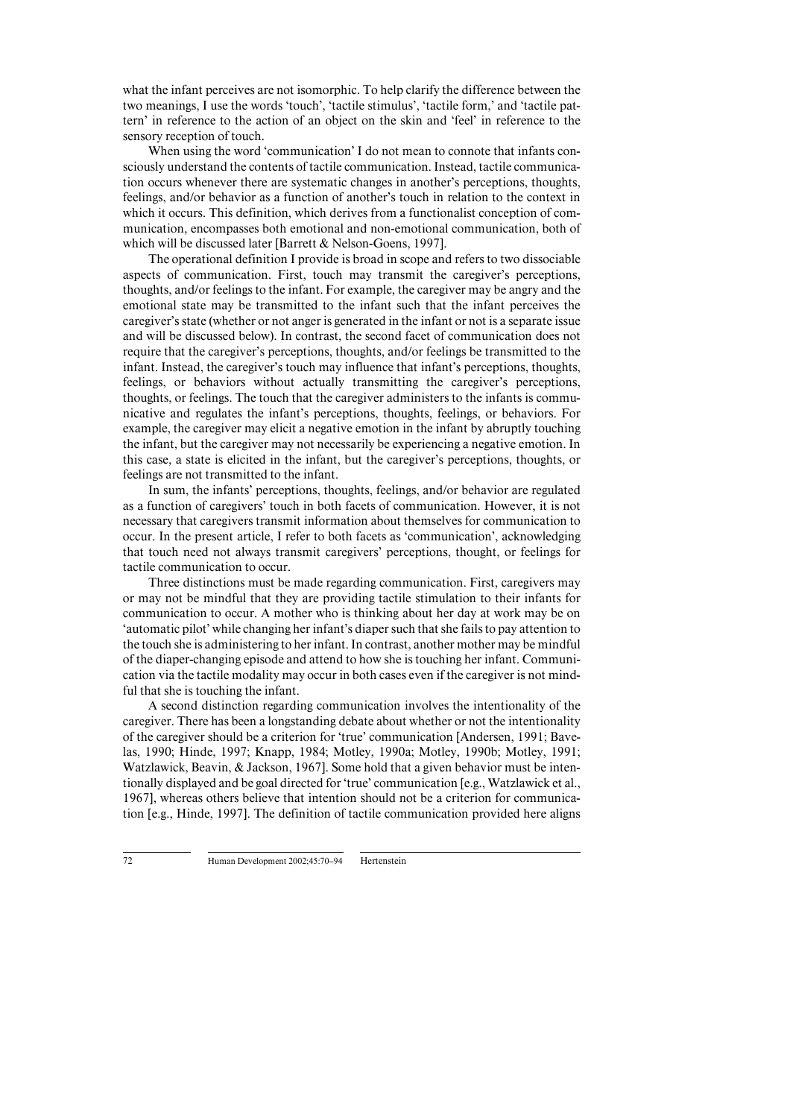what the infant perceives are not isomorphic. To help clarify the difference between the two meanings, I use the words 'touch', 'tactile stimulus', 'tactile form,' and 'tactile pattern' in reference to the action of an object on the skin and 'feel' in reference to the sensory reception of touch.

When using the word 'communication' I do not mean to connote that infants consciously understand the contents of tactile communication. Instead, tactile communication occurs whenever there are systematic changes in another's perceptions, thoughts, feelings, and/or behavior as a function of another's touch in relation to the context in which it occurs. This definition, which derives from a functionalist conception of communication, encompasses both emotional and non-emotional communication, both of which will be discussed later [Barrett & Nelson-Goens, 1997].

The operational definition I provide is broad in scope and refers to two dissociable aspects of communication. First, touch may transmit the caregiver's perceptions, thoughts, and/or feelings to the infant. For example, the caregiver may be angry and the emotional state may be transmitted to the infant such that the infant perceives the caregiver's state (whether or not anger is generated in the infant or not is a separate issue and will be discussed below). In contrast, the second facet of communication does not require that the caregiver's perceptions, thoughts, and/or feelings be transmitted to the infant. Instead, the caregiver's touch may influence that infant's perceptions, thoughts, feelings, or behaviors without actually transmitting the caregiver's perceptions, thoughts, or feelings. The touch that the caregiver administers to the infants is communicative and regulates the infant's perceptions, thoughts, feelings, or behaviors. For example, the caregiver may elicit a negative emotion in the infant by abruptly touching the infant, but the caregiver may not necessarily be experiencing a negative emotion. In this case, a state is elicited in the infant, but the caregiver's perceptions, thoughts, or feelings are not transmitted to the infant.

In sum, the infants' perceptions, thoughts, feelings, and/or behavior are regulated as a function of caregivers' touch in both facets of communication. However, it is not necessary that caregivers transmit information about themselves for communication to occur. In the present article, I refer to both facets as 'communication', acknowledging that touch need not always transmit caregivers' perceptions, thought, or feelings for tactile communication to occur.

Three distinctions must be made regarding communication. First, caregivers may or may not be mindful that they are providing tactile stimulation to their infants for communication to occur. A mother who is thinking about her day at work may be on 'automatic pilot' while changing her infant's diaper such that she fails to pay attention to the touch she is administering to her infant. In contrast, another mother may be mindful of the diaper-changing episode and attend to how she is touching her infant. Communication via the tactile modality may occur in both cases even if the caregiver is not mindful that she is touching the infant.

A second distinction regarding communication involves the intentionality of the caregiver. There has been a longstanding debate about whether or not the intentionality of the caregiver should be a criterion for 'true' communication [Andersen, 1991; Bavelas, 1990; Hinde, 1997; Knapp, 1984; Motley, 1990a; Motley, 1990b; Motley, 1991; Watzlawick, Beavin, & Jackson, 1967]. Some hold that a given behavior must be intentionally displayed and be goal directed for 'true' communication [e.g., Watzlawick et al., 1967], whereas others believe that intention should not be a criterion for communication [e.g., Hinde, 1997]. The definition of tactile communication provided here aligns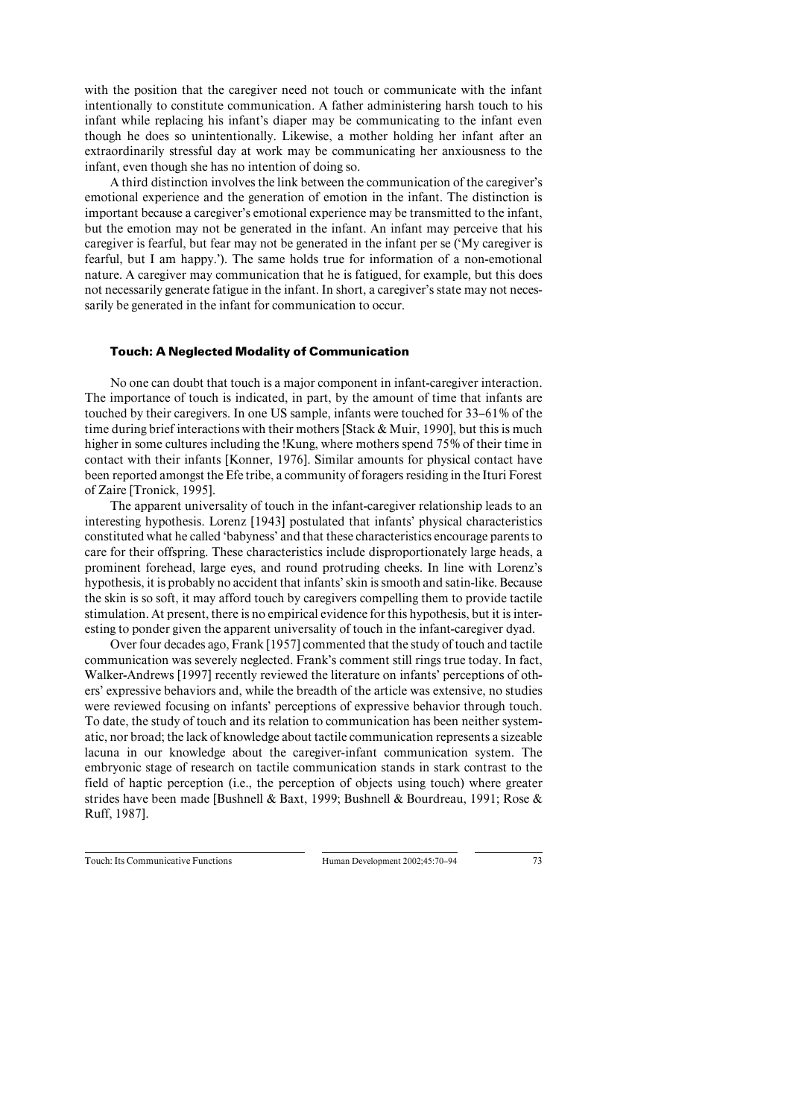with the position that the caregiver need not touch or communicate with the infant intentionally to constitute communication. A father administering harsh touch to his infant while replacing his infant's diaper may be communicating to the infant even though he does so unintentionally. Likewise, a mother holding her infant after an extraordinarily stressful day at work may be communicating her anxiousness to the infant, even though she has no intention of doing so.

A third distinction involves the link between the communication of the caregiver's emotional experience and the generation of emotion in the infant. The distinction is important because a caregiver's emotional experience may be transmitted to the infant, but the emotion may not be generated in the infant. An infant may perceive that his caregiver is fearful, but fear may not be generated in the infant per se ('My caregiver is fearful, but I am happy.'). The same holds true for information of a non-emotional nature. A caregiver may communication that he is fatigued, for example, but this does not necessarily generate fatigue in the infant. In short, a caregiver's state may not necessarily be generated in the infant for communication to occur.

### **Touch: A Neglected Modality of Communication**

No one can doubt that touch is a major component in infant-caregiver interaction. The importance of touch is indicated, in part, by the amount of time that infants are touched by their caregivers. In one US sample, infants were touched for 33–61% of the time during brief interactions with their mothers [Stack & Muir, 1990], but this is much higher in some cultures including the !Kung, where mothers spend 75% of their time in contact with their infants [Konner, 1976]. Similar amounts for physical contact have been reported amongst the Efe tribe, a community of foragers residing in the Ituri Forest of Zaire [Tronick, 1995].

The apparent universality of touch in the infant-caregiver relationship leads to an interesting hypothesis. Lorenz [1943] postulated that infants' physical characteristics constituted what he called 'babyness' and that these characteristics encourage parents to care for their offspring. These characteristics include disproportionately large heads, a prominent forehead, large eyes, and round protruding cheeks. In line with Lorenz's hypothesis, it is probably no accident that infants' skin is smooth and satin-like. Because the skin is so soft, it may afford touch by caregivers compelling them to provide tactile stimulation. At present, there is no empirical evidence for this hypothesis, but it is interesting to ponder given the apparent universality of touch in the infant-caregiver dyad.

Over four decades ago, Frank [1957] commented that the study of touch and tactile communication was severely neglected. Frank's comment still rings true today. In fact, Walker-Andrews [1997] recently reviewed the literature on infants' perceptions of others' expressive behaviors and, while the breadth of the article was extensive, no studies were reviewed focusing on infants' perceptions of expressive behavior through touch. To date, the study of touch and its relation to communication has been neither systematic, nor broad; the lack of knowledge about tactile communication represents a sizeable lacuna in our knowledge about the caregiver-infant communication system. The embryonic stage of research on tactile communication stands in stark contrast to the field of haptic perception (i.e., the perception of objects using touch) where greater strides have been made [Bushnell & Baxt, 1999; Bushnell & Bourdreau, 1991; Rose & Ruff, 1987].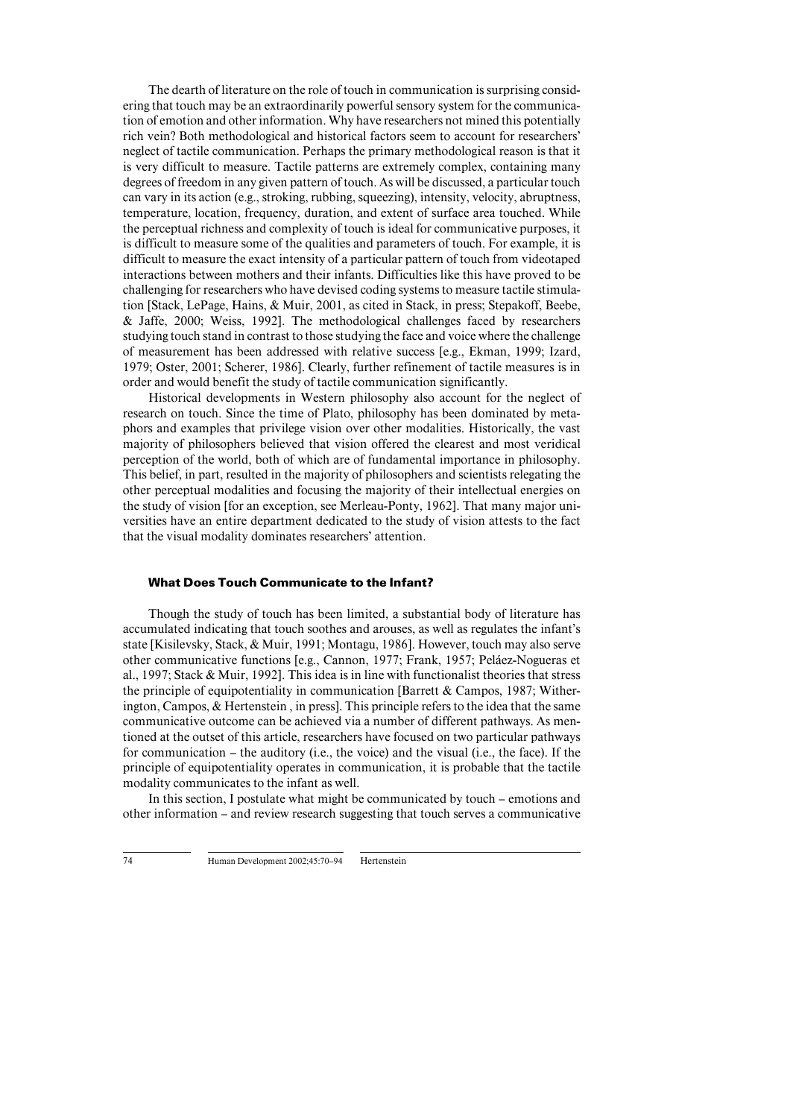The dearth of literature on the role of touch in communication is surprising considering that touch may be an extraordinarily powerful sensory system for the communication of emotion and other information. Why have researchers not mined this potentially rich vein? Both methodological and historical factors seem to account for researchers' neglect of tactile communication. Perhaps the primary methodological reason is that it is very difficult to measure. Tactile patterns are extremely complex, containing many degrees of freedom in any given pattern of touch. As will be discussed, a particular touch can vary in its action (e.g., stroking, rubbing, squeezing), intensity, velocity, abruptness, temperature, location, frequency, duration, and extent of surface area touched. While the perceptual richness and complexity of touch is ideal for communicative purposes, it is difficult to measure some of the qualities and parameters of touch. For example, it is difficult to measure the exact intensity of a particular pattern of touch from videotaped interactions between mothers and their infants. Difficulties like this have proved to be challenging for researchers who have devised coding systems to measure tactile stimulation [Stack, LePage, Hains, & Muir, 2001, as cited in Stack, in press; Stepakoff, Beebe, & Jaffe, 2000; Weiss, 1992]. The methodological challenges faced by researchers studying touch stand in contrast to those studying the face and voice where the challenge of measurement has been addressed with relative success [e.g., Ekman, 1999; Izard, 1979; Oster, 2001; Scherer, 1986]. Clearly, further refinement of tactile measures is in order and would benefit the study of tactile communication significantly.

Historical developments in Western philosophy also account for the neglect of research on touch. Since the time of Plato, philosophy has been dominated by metaphors and examples that privilege vision over other modalities. Historically, the vast majority of philosophers believed that vision offered the clearest and most veridical perception of the world, both of which are of fundamental importance in philosophy. This belief, in part, resulted in the majority of philosophers and scientists relegating the other perceptual modalities and focusing the majority of their intellectual energies on the study of vision [for an exception, see Merleau-Ponty, 1962]. That many major universities have an entire department dedicated to the study of vision attests to the fact that the visual modality dominates researchers' attention.

## **What Does Touch Communicate to the Infant?**

Though the study of touch has been limited, a substantial body of literature has accumulated indicating that touch soothes and arouses, as well as regulates the infant's state [Kisilevsky, Stack, & Muir, 1991; Montagu, 1986]. However, touch may also serve other communicative functions [e.g., Cannon, 1977; Frank, 1957; Peláez-Nogueras et al., 1997; Stack & Muir, 1992]. This idea is in line with functionalist theories that stress the principle of equipotentiality in communication [Barrett  $\&$  Campos, 1987; Witherington, Campos, & Hertenstein , in press]. This principle refers to the idea that the same communicative outcome can be achieved via a number of different pathways. As mentioned at the outset of this article, researchers have focused on two particular pathways for communication – the auditory (i.e., the voice) and the visual (i.e., the face). If the principle of equipotentiality operates in communication, it is probable that the tactile modality communicates to the infant as well.

In this section, I postulate what might be communicated by touch – emotions and other information – and review research suggesting that touch serves a communicative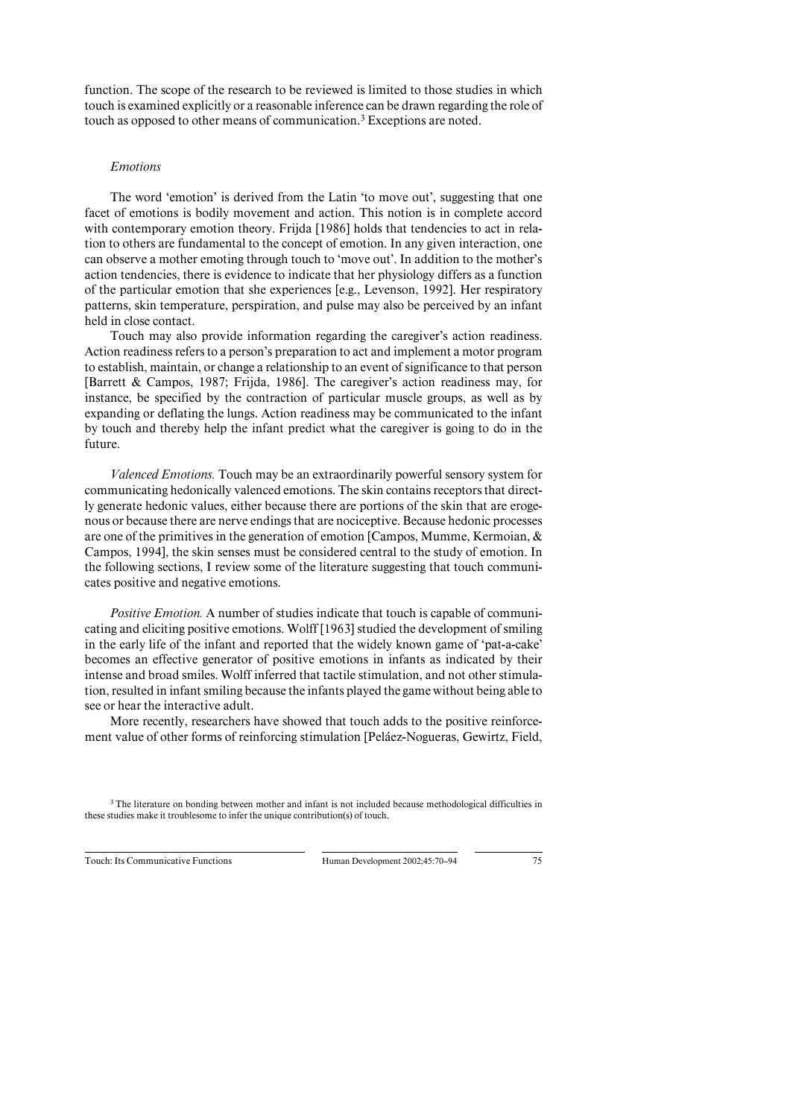function. The scope of the research to be reviewed is limited to those studies in which touch is examined explicitly or a reasonable inference can be drawn regarding the role of touch as opposed to other means of communication.3 Exceptions are noted.

## *Emotions*

The word 'emotion' is derived from the Latin 'to move out', suggesting that one facet of emotions is bodily movement and action. This notion is in complete accord with contemporary emotion theory. Frijda [1986] holds that tendencies to act in relation to others are fundamental to the concept of emotion. In any given interaction, one can observe a mother emoting through touch to 'move out'. In addition to the mother's action tendencies, there is evidence to indicate that her physiology differs as a function of the particular emotion that she experiences [e.g., Levenson, 1992]. Her respiratory patterns, skin temperature, perspiration, and pulse may also be perceived by an infant held in close contact.

Touch may also provide information regarding the caregiver's action readiness. Action readiness refers to a person's preparation to act and implement a motor program to establish, maintain, or change a relationship to an event of significance to that person [Barrett & Campos, 1987; Frijda, 1986]. The caregiver's action readiness may, for instance, be specified by the contraction of particular muscle groups, as well as by expanding or deflating the lungs. Action readiness may be communicated to the infant by touch and thereby help the infant predict what the caregiver is going to do in the future.

*Valenced Emotions.* Touch may be an extraordinarily powerful sensory system for communicating hedonically valenced emotions. The skin contains receptors that directly generate hedonic values, either because there are portions of the skin that are erogenous or because there are nerve endings that are nociceptive. Because hedonic processes are one of the primitives in the generation of emotion [Campos, Mumme, Kermoian, & Campos, 1994], the skin senses must be considered central to the study of emotion. In the following sections, I review some of the literature suggesting that touch communicates positive and negative emotions.

*Positive Emotion.* A number of studies indicate that touch is capable of communicating and eliciting positive emotions. Wolff [1963] studied the development of smiling in the early life of the infant and reported that the widely known game of 'pat-a-cake' becomes an effective generator of positive emotions in infants as indicated by their intense and broad smiles. Wolff inferred that tactile stimulation, and not other stimulation, resulted in infant smiling because the infants played the game without being able to see or hear the interactive adult.

More recently, researchers have showed that touch adds to the positive reinforcement value of other forms of reinforcing stimulation [Peláez-Nogueras, Gewirtz, Field,

<sup>3</sup> The literature on bonding between mother and infant is not included because methodological difficulties in these studies make it troublesome to infer the unique contribution(s) of touch.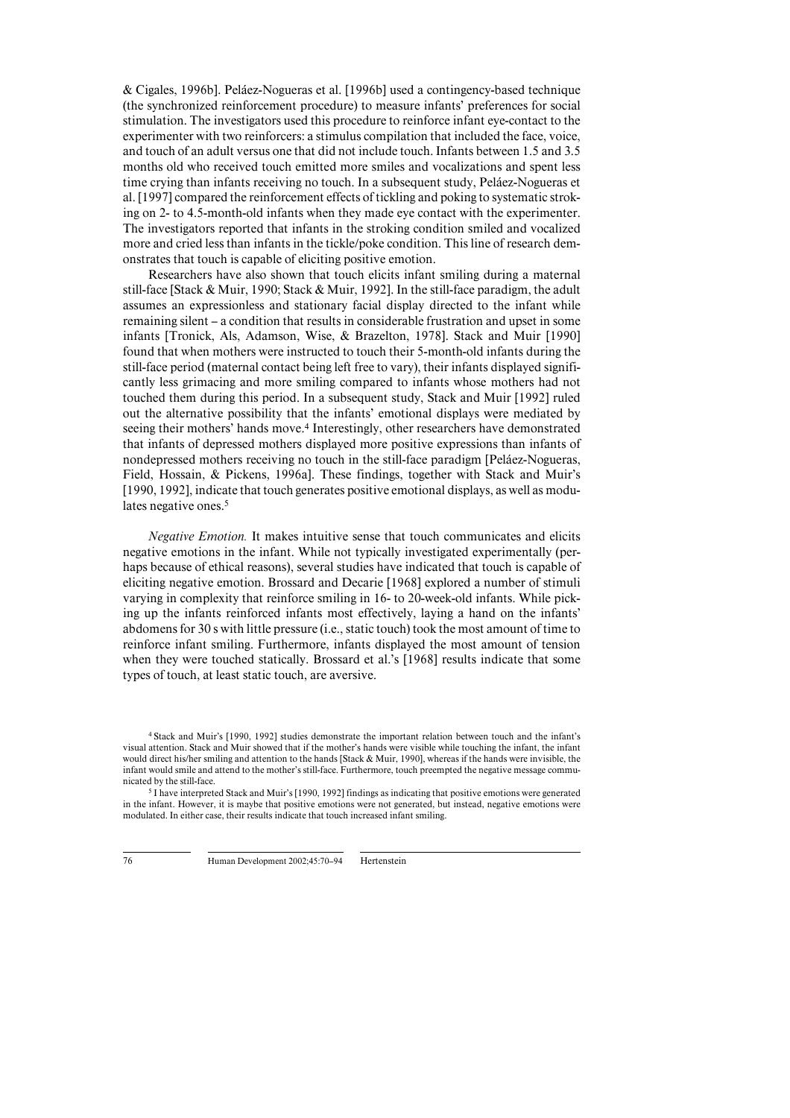& Cigales, 1996b]. Peláez-Nogueras et al. [1996b] used a contingency-based technique (the synchronized reinforcement procedure) to measure infants' preferences for social stimulation. The investigators used this procedure to reinforce infant eye-contact to the experimenter with two reinforcers: a stimulus compilation that included the face, voice, and touch of an adult versus one that did not include touch. Infants between 1.5 and 3.5 months old who received touch emitted more smiles and vocalizations and spent less time crying than infants receiving no touch. In a subsequent study, Pelaez-Nogueras et al. [1997] compared the reinforcement effects of tickling and poking to systematic stroking on 2- to 4.5-month-old infants when they made eye contact with the experimenter. The investigators reported that infants in the stroking condition smiled and vocalized more and cried less than infants in the tickle/poke condition. This line of research demonstrates that touch is capable of eliciting positive emotion.

Researchers have also shown that touch elicits infant smiling during a maternal still-face [Stack & Muir, 1990; Stack & Muir, 1992]. In the still-face paradigm, the adult assumes an expressionless and stationary facial display directed to the infant while remaining silent – a condition that results in considerable frustration and upset in some infants [Tronick, Als, Adamson, Wise, & Brazelton, 1978]. Stack and Muir [1990] found that when mothers were instructed to touch their 5-month-old infants during the still-face period (maternal contact being left free to vary), their infants displayed significantly less grimacing and more smiling compared to infants whose mothers had not touched them during this period. In a subsequent study, Stack and Muir [1992] ruled out the alternative possibility that the infants' emotional displays were mediated by seeing their mothers' hands move.4 Interestingly, other researchers have demonstrated that infants of depressed mothers displayed more positive expressions than infants of nondepressed mothers receiving no touch in the still-face paradigm [Peláez-Nogueras, Field, Hossain, & Pickens, 1996a]. These findings, together with Stack and Muir's [1990, 1992], indicate that touch generates positive emotional displays, as well as modulates negative ones.<sup>5</sup>

*Negative Emotion.* It makes intuitive sense that touch communicates and elicits negative emotions in the infant. While not typically investigated experimentally (perhaps because of ethical reasons), several studies have indicated that touch is capable of eliciting negative emotion. Brossard and Decarie [1968] explored a number of stimuli varying in complexity that reinforce smiling in 16- to 20-week-old infants. While picking up the infants reinforced infants most effectively, laying a hand on the infants' abdomens for 30 s with little pressure (i.e., static touch) took the most amount of time to reinforce infant smiling. Furthermore, infants displayed the most amount of tension when they were touched statically. Brossard et al.'s [1968] results indicate that some types of touch, at least static touch, are aversive.

<sup>4</sup> Stack and Muir's [1990, 1992] studies demonstrate the important relation between touch and the infant's visual attention. Stack and Muir showed that if the mother's hands were visible while touching the infant, the infant would direct his/her smiling and attention to the hands [Stack & Muir, 1990], whereas if the hands were invisible, the infant would smile and attend to the mother's still-face. Furthermore, touch preempted the negative message communicated by the still-face.

<sup>5</sup> I have interpreted Stack and Muir's [1990, 1992] findings as indicating that positive emotions were generated in the infant. However, it is maybe that positive emotions were not generated, but instead, negative emotions were modulated. In either case, their results indicate that touch increased infant smiling.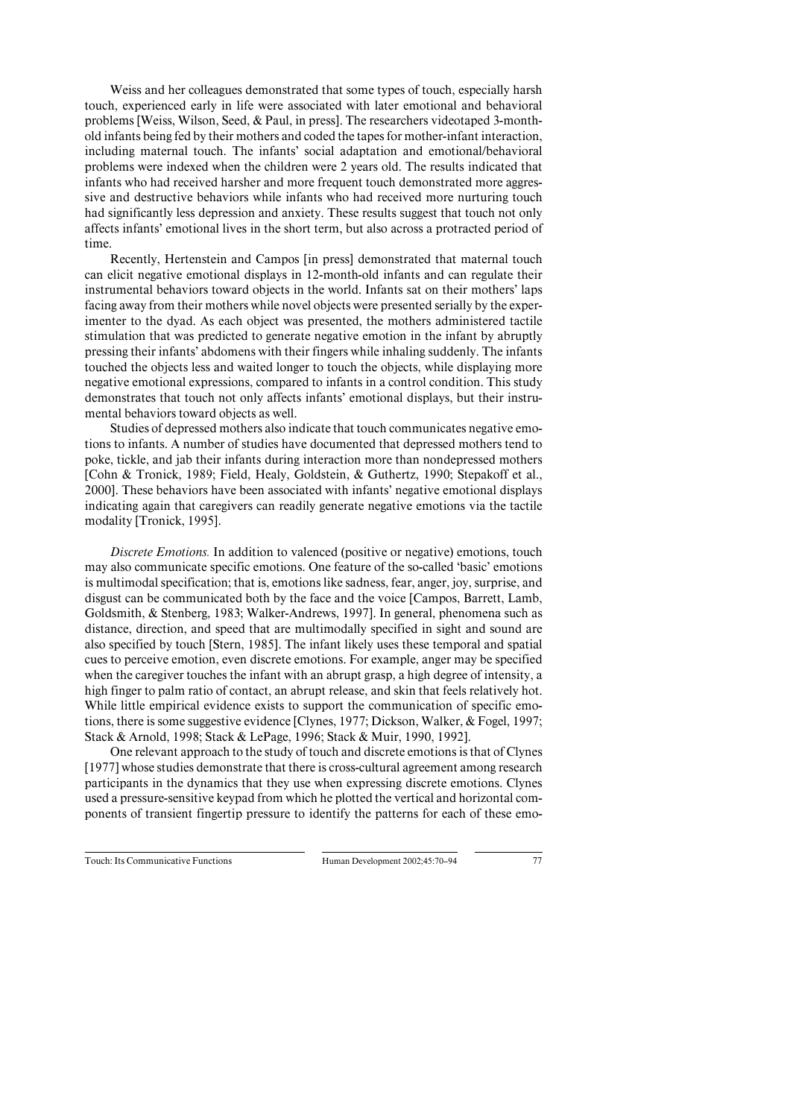Weiss and her colleagues demonstrated that some types of touch, especially harsh touch, experienced early in life were associated with later emotional and behavioral problems [Weiss, Wilson, Seed, & Paul, in press]. The researchers videotaped 3-monthold infants being fed by their mothers and coded the tapes for mother-infant interaction, including maternal touch. The infants' social adaptation and emotional/behavioral problems were indexed when the children were 2 years old. The results indicated that infants who had received harsher and more frequent touch demonstrated more aggressive and destructive behaviors while infants who had received more nurturing touch had significantly less depression and anxiety. These results suggest that touch not only affects infants' emotional lives in the short term, but also across a protracted period of time.

Recently, Hertenstein and Campos [in press] demonstrated that maternal touch can elicit negative emotional displays in 12-month-old infants and can regulate their instrumental behaviors toward objects in the world. Infants sat on their mothers' laps facing away from their mothers while novel objects were presented serially by the experimenter to the dyad. As each object was presented, the mothers administered tactile stimulation that was predicted to generate negative emotion in the infant by abruptly pressing their infants' abdomens with their fingers while inhaling suddenly. The infants touched the objects less and waited longer to touch the objects, while displaying more negative emotional expressions, compared to infants in a control condition. This study demonstrates that touch not only affects infants' emotional displays, but their instrumental behaviors toward objects as well.

Studies of depressed mothers also indicate that touch communicates negative emotions to infants. A number of studies have documented that depressed mothers tend to poke, tickle, and jab their infants during interaction more than nondepressed mothers [Cohn & Tronick, 1989; Field, Healy, Goldstein, & Guthertz, 1990; Stepakoff et al., 2000]. These behaviors have been associated with infants' negative emotional displays indicating again that caregivers can readily generate negative emotions via the tactile modality [Tronick, 1995].

*Discrete Emotions.* In addition to valenced (positive or negative) emotions, touch may also communicate specific emotions. One feature of the so-called 'basic' emotions is multimodal specification; that is, emotions like sadness, fear, anger, joy, surprise, and disgust can be communicated both by the face and the voice [Campos, Barrett, Lamb, Goldsmith, & Stenberg, 1983; Walker-Andrews, 1997]. In general, phenomena such as distance, direction, and speed that are multimodally specified in sight and sound are also specified by touch [Stern, 1985]. The infant likely uses these temporal and spatial cues to perceive emotion, even discrete emotions. For example, anger may be specified when the caregiver touches the infant with an abrupt grasp, a high degree of intensity, a high finger to palm ratio of contact, an abrupt release, and skin that feels relatively hot. While little empirical evidence exists to support the communication of specific emotions, there is some suggestive evidence [Clynes, 1977; Dickson, Walker, & Fogel, 1997; Stack & Arnold, 1998; Stack & LePage, 1996; Stack & Muir, 1990, 1992].

One relevant approach to the study of touch and discrete emotions is that of Clynes [1977] whose studies demonstrate that there is cross-cultural agreement among research participants in the dynamics that they use when expressing discrete emotions. Clynes used a pressure-sensitive keypad from which he plotted the vertical and horizontal components of transient fingertip pressure to identify the patterns for each of these emo-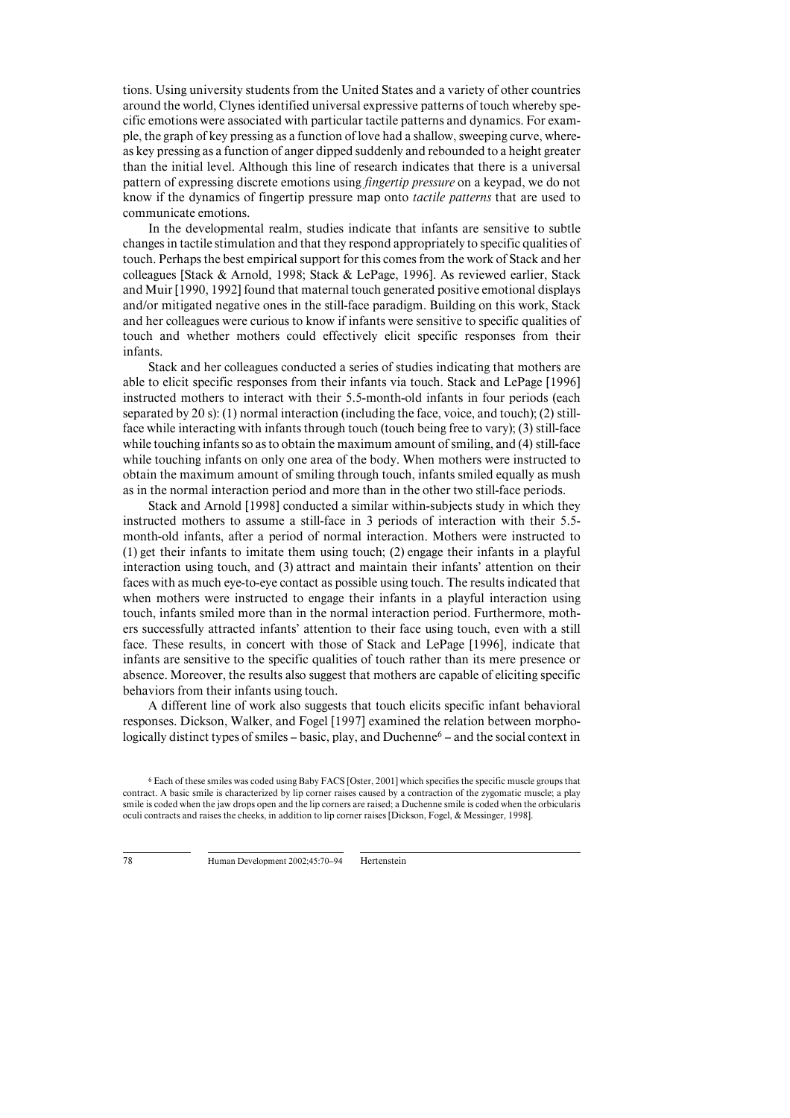tions. Using university students from the United States and a variety of other countries around the world, Clynes identified universal expressive patterns of touch whereby specific emotions were associated with particular tactile patterns and dynamics. For example, the graph of key pressing as a function of love had a shallow, sweeping curve, whereas key pressing as a function of anger dipped suddenly and rebounded to a height greater than the initial level. Although this line of research indicates that there is a universal pattern of expressing discrete emotions using *fingertip pressure* on a keypad, we do not know if the dynamics of fingertip pressure map onto *tactile patterns* that are used to communicate emotions.

In the developmental realm, studies indicate that infants are sensitive to subtle changes in tactile stimulation and that they respond appropriately to specific qualities of touch. Perhaps the best empirical support for this comes from the work of Stack and her colleagues [Stack & Arnold, 1998; Stack & LePage, 1996]. As reviewed earlier, Stack and Muir [1990, 1992] found that maternal touch generated positive emotional displays and/or mitigated negative ones in the still-face paradigm. Building on this work, Stack and her colleagues were curious to know if infants were sensitive to specific qualities of touch and whether mothers could effectively elicit specific responses from their infants.

Stack and her colleagues conducted a series of studies indicating that mothers are able to elicit specific responses from their infants via touch. Stack and LePage [1996] instructed mothers to interact with their 5.5-month-old infants in four periods (each separated by 20 s): (1) normal interaction (including the face, voice, and touch); (2) stillface while interacting with infants through touch (touch being free to vary); (3) still-face while touching infants so as to obtain the maximum amount of smiling, and (4) still-face while touching infants on only one area of the body. When mothers were instructed to obtain the maximum amount of smiling through touch, infants smiled equally as mush as in the normal interaction period and more than in the other two still-face periods.

Stack and Arnold [1998] conducted a similar within-subjects study in which they instructed mothers to assume a still-face in 3 periods of interaction with their 5.5 month-old infants, after a period of normal interaction. Mothers were instructed to (1) get their infants to imitate them using touch; (2) engage their infants in a playful interaction using touch, and (3) attract and maintain their infants' attention on their faces with as much eye-to-eye contact as possible using touch. The results indicated that when mothers were instructed to engage their infants in a playful interaction using touch, infants smiled more than in the normal interaction period. Furthermore, mothers successfully attracted infants' attention to their face using touch, even with a still face. These results, in concert with those of Stack and LePage [1996], indicate that infants are sensitive to the specific qualities of touch rather than its mere presence or absence. Moreover, the results also suggest that mothers are capable of eliciting specific behaviors from their infants using touch.

A different line of work also suggests that touch elicits specific infant behavioral responses. Dickson, Walker, and Fogel [1997] examined the relation between morphologically distinct types of smiles – basic, play, and Duchenne<sup>6</sup> – and the social context in

<sup>6</sup> Each of these smiles was coded using Baby FACS [Oster, 2001] which specifies the specific muscle groups that contract. A basic smile is characterized by lip corner raises caused by a contraction of the zygomatic muscle; a play smile is coded when the jaw drops open and the lip corners are raised; a Duchenne smile is coded when the orbicularis oculi contracts and raises the cheeks, in addition to lip corner raises [Dickson, Fogel, & Messinger, 1998].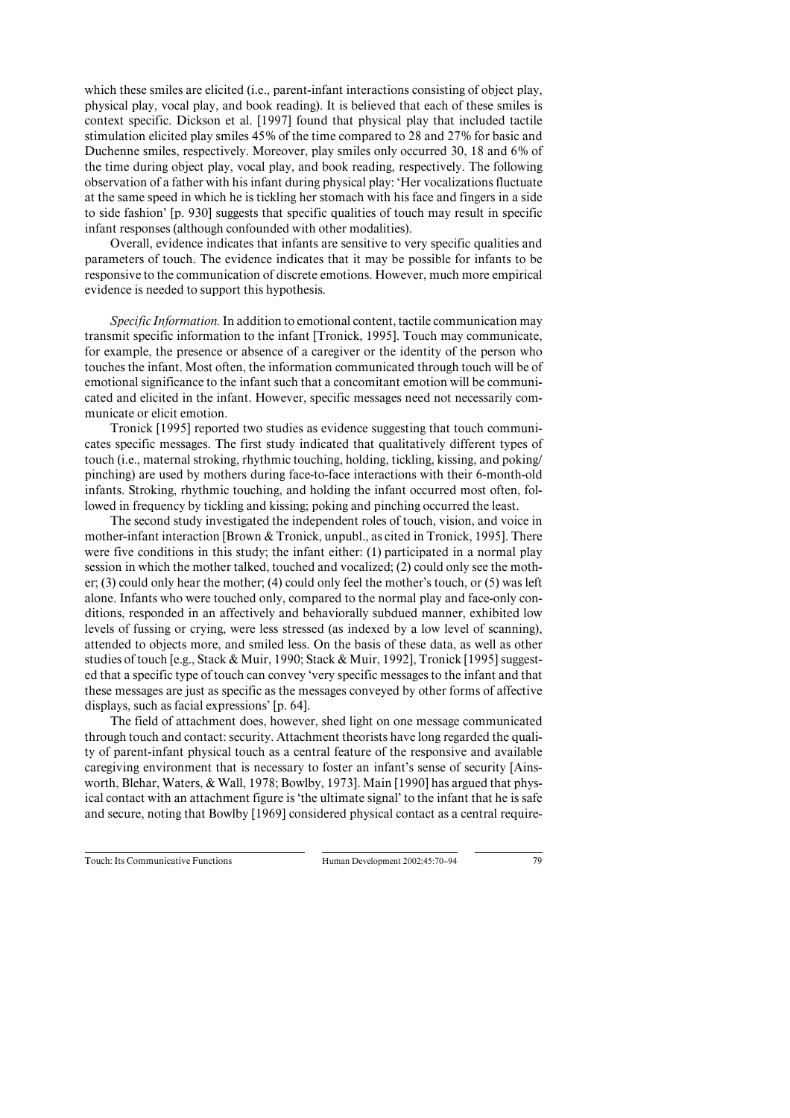which these smiles are elicited (i.e., parent-infant interactions consisting of object play, physical play, vocal play, and book reading). It is believed that each of these smiles is context specific. Dickson et al. [1997] found that physical play that included tactile stimulation elicited play smiles 45% of the time compared to 28 and 27% for basic and Duchenne smiles, respectively. Moreover, play smiles only occurred 30, 18 and 6% of the time during object play, vocal play, and book reading, respectively. The following observation of a father with his infant during physical play: 'Her vocalizations fluctuate at the same speed in which he is tickling her stomach with his face and fingers in a side to side fashion' [p. 930] suggests that specific qualities of touch may result in specific infant responses (although confounded with other modalities).

Overall, evidence indicates that infants are sensitive to very specific qualities and parameters of touch. The evidence indicates that it may be possible for infants to be responsive to the communication of discrete emotions. However, much more empirical evidence is needed to support this hypothesis.

*Specific Information.* In addition to emotional content, tactile communication may transmit specific information to the infant [Tronick, 1995]. Touch may communicate, for example, the presence or absence of a caregiver or the identity of the person who touches the infant. Most often, the information communicated through touch will be of emotional significance to the infant such that a concomitant emotion will be communicated and elicited in the infant. However, specific messages need not necessarily communicate or elicit emotion.

Tronick [1995] reported two studies as evidence suggesting that touch communicates specific messages. The first study indicated that qualitatively different types of touch (i.e., maternal stroking, rhythmic touching, holding, tickling, kissing, and poking/ pinching) are used by mothers during face-to-face interactions with their 6-month-old infants. Stroking, rhythmic touching, and holding the infant occurred most often, followed in frequency by tickling and kissing; poking and pinching occurred the least.

The second study investigated the independent roles of touch, vision, and voice in mother-infant interaction [Brown & Tronick, unpubl., as cited in Tronick, 1995]. There were five conditions in this study; the infant either: (1) participated in a normal play session in which the mother talked, touched and vocalized; (2) could only see the mother; (3) could only hear the mother; (4) could only feel the mother's touch, or (5) was left alone. Infants who were touched only, compared to the normal play and face-only conditions, responded in an affectively and behaviorally subdued manner, exhibited low levels of fussing or crying, were less stressed (as indexed by a low level of scanning), attended to objects more, and smiled less. On the basis of these data, as well as other studies of touch [e.g., Stack & Muir, 1990; Stack & Muir, 1992], Tronick [1995] suggested that a specific type of touch can convey 'very specific messages to the infant and that these messages are just as specific as the messages conveyed by other forms of affective displays, such as facial expressions' [p. 64].

The field of attachment does, however, shed light on one message communicated through touch and contact: security. Attachment theorists have long regarded the quality of parent-infant physical touch as a central feature of the responsive and available caregiving environment that is necessary to foster an infant's sense of security [Ainsworth, Blehar, Waters, & Wall, 1978; Bowlby, 1973]. Main [1990] has argued that physical contact with an attachment figure is 'the ultimate signal' to the infant that he is safe and secure, noting that Bowlby [1969] considered physical contact as a central require-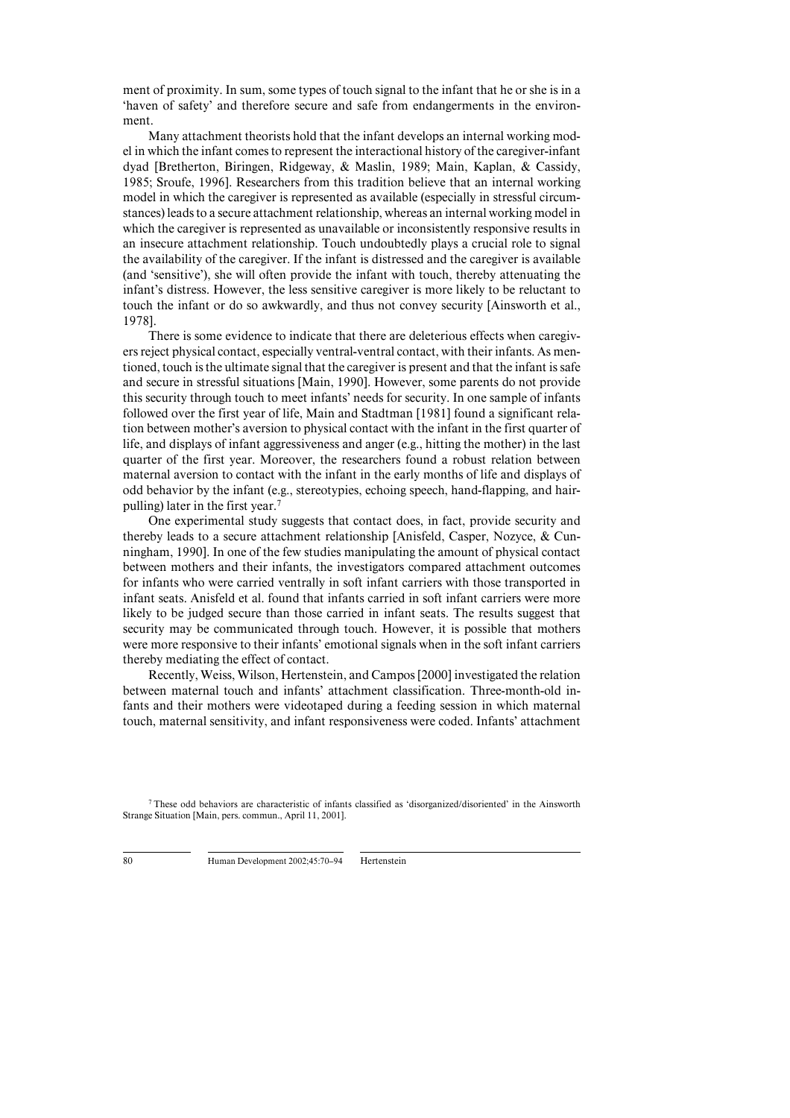ment of proximity. In sum, some types of touch signal to the infant that he or she is in a 'haven of safety' and therefore secure and safe from endangerments in the environment.

Many attachment theorists hold that the infant develops an internal working model in which the infant comes to represent the interactional history of the caregiver-infant dyad [Bretherton, Biringen, Ridgeway, & Maslin, 1989; Main, Kaplan, & Cassidy, 1985; Sroufe, 1996]. Researchers from this tradition believe that an internal working model in which the caregiver is represented as available (especially in stressful circumstances) leads to a secure attachment relationship, whereas an internal working model in which the caregiver is represented as unavailable or inconsistently responsive results in an insecure attachment relationship. Touch undoubtedly plays a crucial role to signal the availability of the caregiver. If the infant is distressed and the caregiver is available (and 'sensitive'), she will often provide the infant with touch, thereby attenuating the infant's distress. However, the less sensitive caregiver is more likely to be reluctant to touch the infant or do so awkwardly, and thus not convey security [Ainsworth et al., 1978].

There is some evidence to indicate that there are deleterious effects when caregivers reject physical contact, especially ventral-ventral contact, with their infants. As mentioned, touch is the ultimate signal that the caregiver is present and that the infant is safe and secure in stressful situations [Main, 1990]. However, some parents do not provide this security through touch to meet infants' needs for security. In one sample of infants followed over the first year of life, Main and Stadtman [1981] found a significant relation between mother's aversion to physical contact with the infant in the first quarter of life, and displays of infant aggressiveness and anger (e.g., hitting the mother) in the last quarter of the first year. Moreover, the researchers found a robust relation between maternal aversion to contact with the infant in the early months of life and displays of odd behavior by the infant (e.g., stereotypies, echoing speech, hand-flapping, and hairpulling) later in the first year.7

One experimental study suggests that contact does, in fact, provide security and thereby leads to a secure attachment relationship [Anisfeld, Casper, Nozyce, & Cunningham, 1990]. In one of the few studies manipulating the amount of physical contact between mothers and their infants, the investigators compared attachment outcomes for infants who were carried ventrally in soft infant carriers with those transported in infant seats. Anisfeld et al. found that infants carried in soft infant carriers were more likely to be judged secure than those carried in infant seats. The results suggest that security may be communicated through touch. However, it is possible that mothers were more responsive to their infants' emotional signals when in the soft infant carriers thereby mediating the effect of contact.

Recently, Weiss, Wilson, Hertenstein, and Campos [2000] investigated the relation between maternal touch and infants' attachment classification. Three-month-old infants and their mothers were videotaped during a feeding session in which maternal touch, maternal sensitivity, and infant responsiveness were coded. Infants' attachment

<sup>7</sup> These odd behaviors are characteristic of infants classified as 'disorganized/disoriented' in the Ainsworth Strange Situation [Main, pers. commun., April 11, 2001].

<sup>80</sup> Human Development 2002;45:70-94 Hertenstein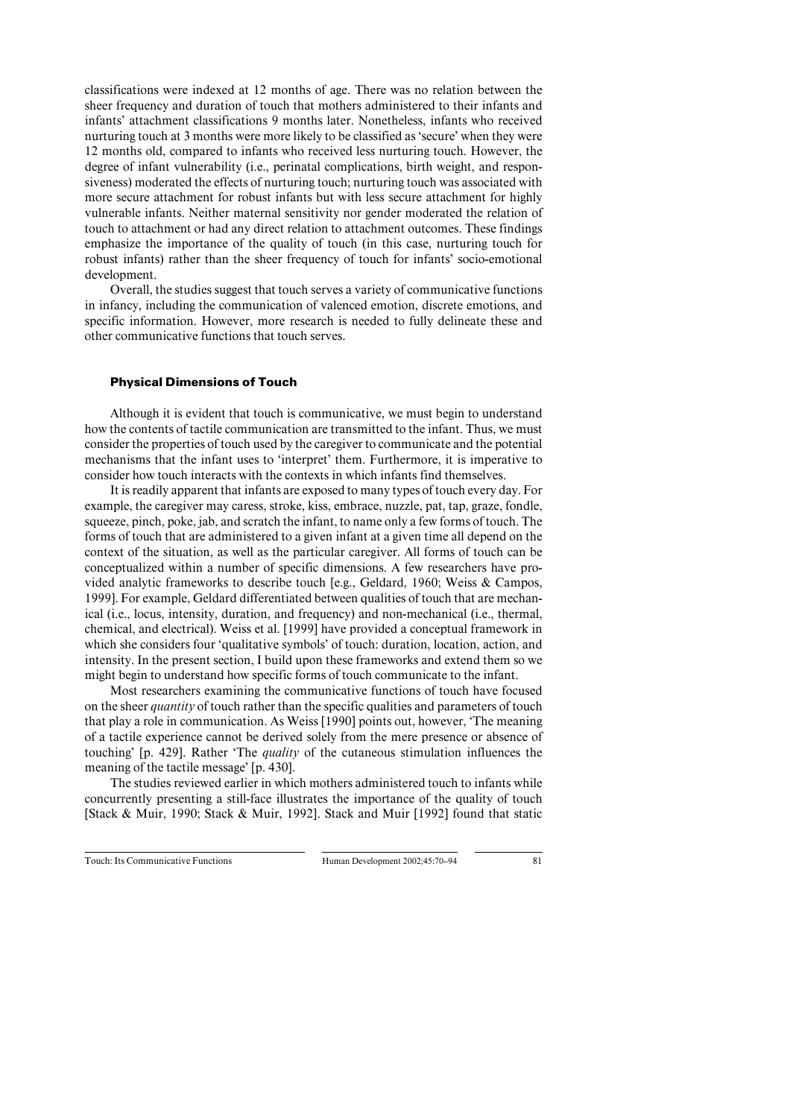classifications were indexed at 12 months of age. There was no relation between the sheer frequency and duration of touch that mothers administered to their infants and infants' attachment classifications 9 months later. Nonetheless, infants who received nurturing touch at 3 months were more likely to be classified as 'secure' when they were 12 months old, compared to infants who received less nurturing touch. However, the degree of infant vulnerability (i.e., perinatal complications, birth weight, and responsiveness) moderated the effects of nurturing touch; nurturing touch was associated with more secure attachment for robust infants but with less secure attachment for highly vulnerable infants. Neither maternal sensitivity nor gender moderated the relation of touch to attachment or had any direct relation to attachment outcomes. These findings emphasize the importance of the quality of touch (in this case, nurturing touch for robust infants) rather than the sheer frequency of touch for infants' socio-emotional development.

Overall, the studies suggest that touch serves a variety of communicative functions in infancy, including the communication of valenced emotion, discrete emotions, and specific information. However, more research is needed to fully delineate these and other communicative functions that touch serves.

#### **Physical Dimensions of Touch**

Although it is evident that touch is communicative, we must begin to understand how the contents of tactile communication are transmitted to the infant. Thus, we must consider the properties of touch used by the caregiver to communicate and the potential mechanisms that the infant uses to 'interpret' them. Furthermore, it is imperative to consider how touch interacts with the contexts in which infants find themselves.

It is readily apparent that infants are exposed to many types of touch every day. For example, the caregiver may caress, stroke, kiss, embrace, nuzzle, pat, tap, graze, fondle, squeeze, pinch, poke, jab, and scratch the infant, to name only a few forms of touch. The forms of touch that are administered to a given infant at a given time all depend on the context of the situation, as well as the particular caregiver. All forms of touch can be conceptualized within a number of specific dimensions. A few researchers have provided analytic frameworks to describe touch [e.g., Geldard, 1960; Weiss & Campos, 1999]. For example, Geldard differentiated between qualities of touch that are mechanical (i.e., locus, intensity, duration, and frequency) and non-mechanical (i.e., thermal, chemical, and electrical). Weiss et al. [1999] have provided a conceptual framework in which she considers four 'qualitative symbols' of touch: duration, location, action, and intensity. In the present section, I build upon these frameworks and extend them so we might begin to understand how specific forms of touch communicate to the infant.

Most researchers examining the communicative functions of touch have focused on the sheer *quantity* of touch rather than the specific qualities and parameters of touch that play a role in communication. As Weiss [1990] points out, however, 'The meaning of a tactile experience cannot be derived solely from the mere presence or absence of touching' [p. 429]. Rather 'The *quality* of the cutaneous stimulation influences the meaning of the tactile message' [p. 430].

The studies reviewed earlier in which mothers administered touch to infants while concurrently presenting a still-face illustrates the importance of the quality of touch [Stack & Muir, 1990; Stack & Muir, 1992]. Stack and Muir [1992] found that static

Human Development 2002;45:70–94 81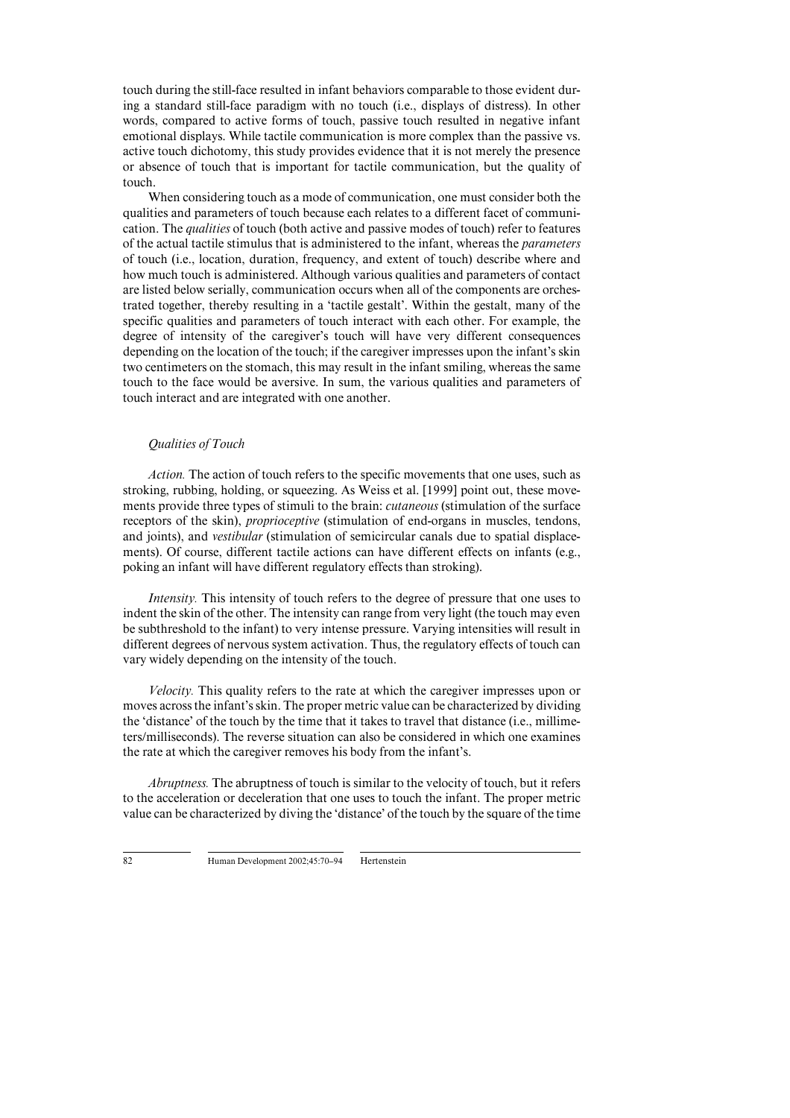touch during the still-face resulted in infant behaviors comparable to those evident during a standard still-face paradigm with no touch (i.e., displays of distress). In other words, compared to active forms of touch, passive touch resulted in negative infant emotional displays. While tactile communication is more complex than the passive vs. active touch dichotomy, this study provides evidence that it is not merely the presence or absence of touch that is important for tactile communication, but the quality of touch.

When considering touch as a mode of communication, one must consider both the qualities and parameters of touch because each relates to a different facet of communication. The *qualities* of touch (both active and passive modes of touch) refer to features of the actual tactile stimulus that is administered to the infant, whereas the *parameters* of touch (i.e., location, duration, frequency, and extent of touch) describe where and how much touch is administered. Although various qualities and parameters of contact are listed below serially, communication occurs when all of the components are orchestrated together, thereby resulting in a 'tactile gestalt'. Within the gestalt, many of the specific qualities and parameters of touch interact with each other. For example, the degree of intensity of the caregiver's touch will have very different consequences depending on the location of the touch; if the caregiver impresses upon the infant's skin two centimeters on the stomach, this may result in the infant smiling, whereas the same touch to the face would be aversive. In sum, the various qualities and parameters of touch interact and are integrated with one another.

# *Qualities of Touch*

*Action.* The action of touch refers to the specific movements that one uses, such as stroking, rubbing, holding, or squeezing. As Weiss et al. [1999] point out, these movements provide three types of stimuli to the brain: *cutaneous* (stimulation of the surface receptors of the skin), *proprioceptive* (stimulation of end-organs in muscles, tendons, and joints), and *vestibular* (stimulation of semicircular canals due to spatial displacements). Of course, different tactile actions can have different effects on infants (e.g., poking an infant will have different regulatory effects than stroking).

*Intensity*. This intensity of touch refers to the degree of pressure that one uses to indent the skin of the other. The intensity can range from very light (the touch may even be subthreshold to the infant) to very intense pressure. Varying intensities will result in different degrees of nervous system activation. Thus, the regulatory effects of touch can vary widely depending on the intensity of the touch.

*Velocity.* This quality refers to the rate at which the caregiver impresses upon or moves across the infant's skin. The proper metric value can be characterized by dividing the 'distance' of the touch by the time that it takes to travel that distance (i.e., millimeters/milliseconds). The reverse situation can also be considered in which one examines the rate at which the caregiver removes his body from the infant's.

*Abruptness.* The abruptness of touch is similar to the velocity of touch, but it refers to the acceleration or deceleration that one uses to touch the infant. The proper metric value can be characterized by diving the 'distance' of the touch by the square of the time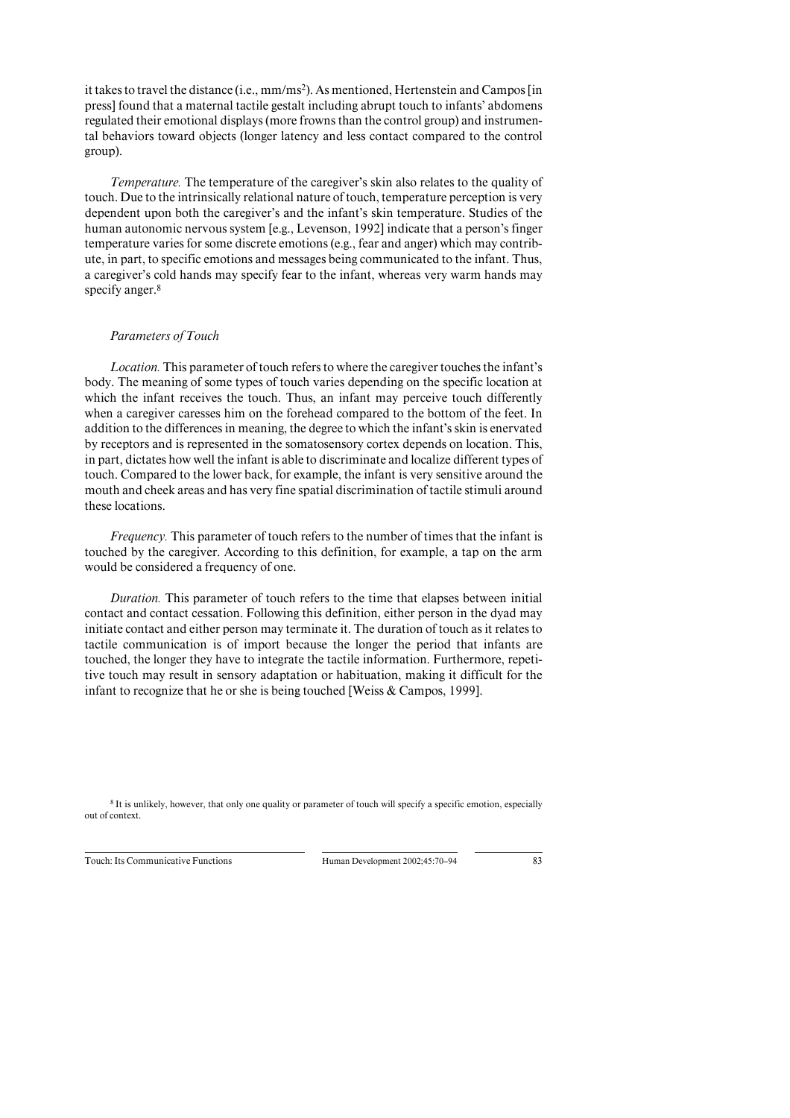it takes to travel the distance (i.e., mm/ms2). As mentioned, Hertenstein and Campos [in press] found that a maternal tactile gestalt including abrupt touch to infants' abdomens regulated their emotional displays (more frowns than the control group) and instrumental behaviors toward objects (longer latency and less contact compared to the control group).

*Temperature.* The temperature of the caregiver's skin also relates to the quality of touch. Due to the intrinsically relational nature of touch, temperature perception is very dependent upon both the caregiver's and the infant's skin temperature. Studies of the human autonomic nervous system [e.g., Levenson, 1992] indicate that a person's finger temperature varies for some discrete emotions (e.g., fear and anger) which may contribute, in part, to specific emotions and messages being communicated to the infant. Thus, a caregiver's cold hands may specify fear to the infant, whereas very warm hands may specify anger.<sup>8</sup>

## *Parameters of Touch*

*Location.* This parameter of touch refers to where the caregiver touches the infant's body. The meaning of some types of touch varies depending on the specific location at which the infant receives the touch. Thus, an infant may perceive touch differently when a caregiver caresses him on the forehead compared to the bottom of the feet. In addition to the differences in meaning, the degree to which the infant's skin is enervated by receptors and is represented in the somatosensory cortex depends on location. This, in part, dictates how well the infant is able to discriminate and localize different types of touch. Compared to the lower back, for example, the infant is very sensitive around the mouth and cheek areas and has very fine spatial discrimination of tactile stimuli around these locations.

*Frequency.* This parameter of touch refers to the number of times that the infant is touched by the caregiver. According to this definition, for example, a tap on the arm would be considered a frequency of one.

*Duration.* This parameter of touch refers to the time that elapses between initial contact and contact cessation. Following this definition, either person in the dyad may initiate contact and either person may terminate it. The duration of touch as it relates to tactile communication is of import because the longer the period that infants are touched, the longer they have to integrate the tactile information. Furthermore, repetitive touch may result in sensory adaptation or habituation, making it difficult for the infant to recognize that he or she is being touched [Weiss & Campos, 1999].

<sup>8</sup> It is unlikely, however, that only one quality or parameter of touch will specify a specific emotion, especially out of context.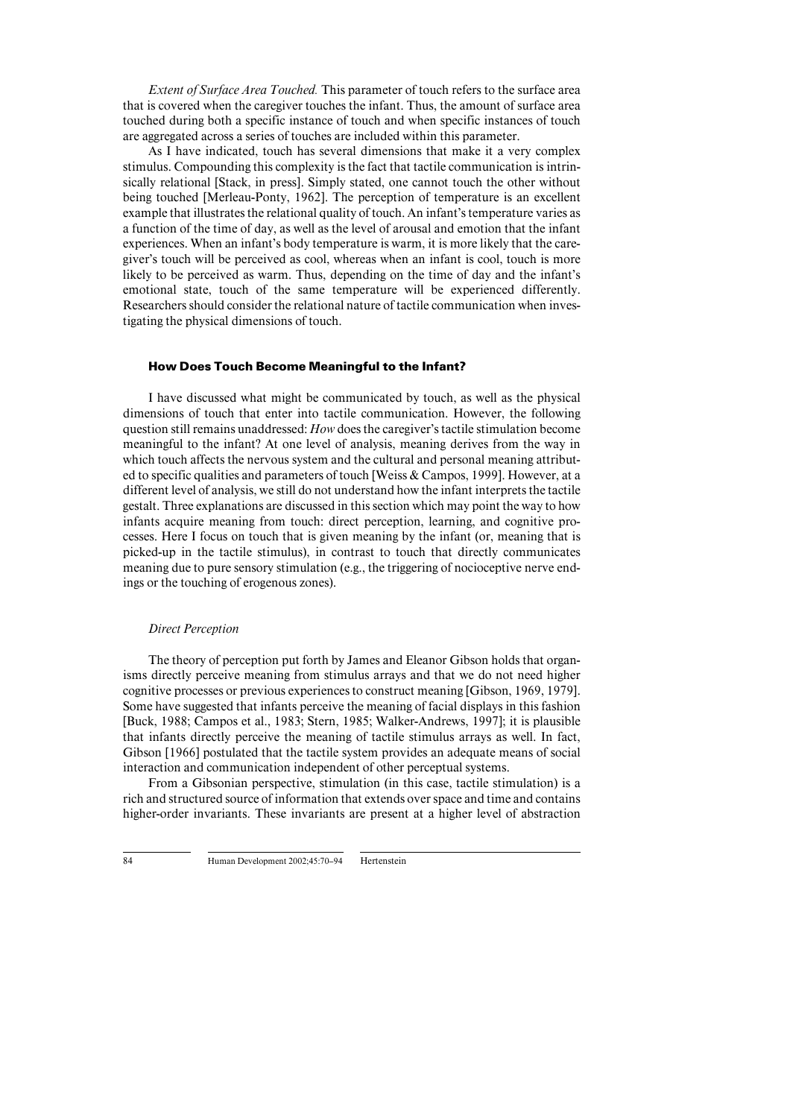*Extent of Surface Area Touched.* This parameter of touch refers to the surface area that is covered when the caregiver touches the infant. Thus, the amount of surface area touched during both a specific instance of touch and when specific instances of touch are aggregated across a series of touches are included within this parameter.

As I have indicated, touch has several dimensions that make it a very complex stimulus. Compounding this complexity is the fact that tactile communication is intrinsically relational [Stack, in press]. Simply stated, one cannot touch the other without being touched [Merleau-Ponty, 1962]. The perception of temperature is an excellent example that illustrates the relational quality of touch. An infant's temperature varies as a function of the time of day, as well as the level of arousal and emotion that the infant experiences. When an infant's body temperature is warm, it is more likely that the caregiver's touch will be perceived as cool, whereas when an infant is cool, touch is more likely to be perceived as warm. Thus, depending on the time of day and the infant's emotional state, touch of the same temperature will be experienced differently. Researchers should consider the relational nature of tactile communication when investigating the physical dimensions of touch.

#### **How Does Touch Become Meaningful to the Infant?**

I have discussed what might be communicated by touch, as well as the physical dimensions of touch that enter into tactile communication. However, the following question still remains unaddressed: *How* does the caregiver's tactile stimulation become meaningful to the infant? At one level of analysis, meaning derives from the way in which touch affects the nervous system and the cultural and personal meaning attributed to specific qualities and parameters of touch [Weiss & Campos, 1999]. However, at a different level of analysis, we still do not understand how the infant interprets the tactile gestalt. Three explanations are discussed in this section which may point the way to how infants acquire meaning from touch: direct perception, learning, and cognitive processes. Here I focus on touch that is given meaning by the infant (or, meaning that is picked-up in the tactile stimulus), in contrast to touch that directly communicates meaning due to pure sensory stimulation (e.g., the triggering of nocioceptive nerve endings or the touching of erogenous zones).

#### *Direct Perception*

The theory of perception put forth by James and Eleanor Gibson holds that organisms directly perceive meaning from stimulus arrays and that we do not need higher cognitive processes or previous experiences to construct meaning [Gibson, 1969, 1979]. Some have suggested that infants perceive the meaning of facial displays in this fashion [Buck, 1988; Campos et al., 1983; Stern, 1985; Walker-Andrews, 1997]; it is plausible that infants directly perceive the meaning of tactile stimulus arrays as well. In fact, Gibson [1966] postulated that the tactile system provides an adequate means of social interaction and communication independent of other perceptual systems.

From a Gibsonian perspective, stimulation (in this case, tactile stimulation) is a rich and structured source of information that extends over space and time and contains higher-order invariants. These invariants are present at a higher level of abstraction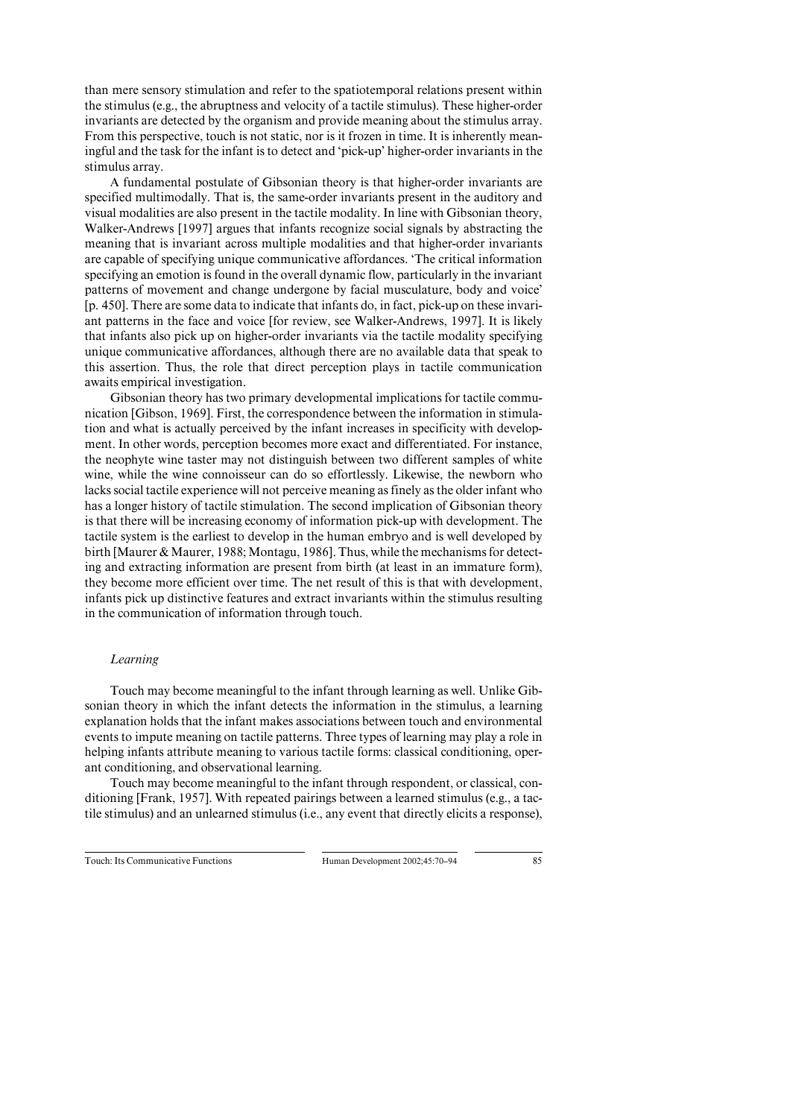than mere sensory stimulation and refer to the spatiotemporal relations present within the stimulus (e.g., the abruptness and velocity of a tactile stimulus). These higher-order invariants are detected by the organism and provide meaning about the stimulus array. From this perspective, touch is not static, nor is it frozen in time. It is inherently meaningful and the task for the infant is to detect and 'pick-up' higher-order invariants in the stimulus array.

A fundamental postulate of Gibsonian theory is that higher-order invariants are specified multimodally. That is, the same-order invariants present in the auditory and visual modalities are also present in the tactile modality. In line with Gibsonian theory, Walker-Andrews [1997] argues that infants recognize social signals by abstracting the meaning that is invariant across multiple modalities and that higher-order invariants are capable of specifying unique communicative affordances. 'The critical information specifying an emotion is found in the overall dynamic flow, particularly in the invariant patterns of movement and change undergone by facial musculature, body and voice' [p. 450]. There are some data to indicate that infants do, in fact, pick-up on these invariant patterns in the face and voice [for review, see Walker-Andrews, 1997]. It is likely that infants also pick up on higher-order invariants via the tactile modality specifying unique communicative affordances, although there are no available data that speak to this assertion. Thus, the role that direct perception plays in tactile communication awaits empirical investigation.

Gibsonian theory has two primary developmental implications for tactile communication [Gibson, 1969]. First, the correspondence between the information in stimulation and what is actually perceived by the infant increases in specificity with development. In other words, perception becomes more exact and differentiated. For instance, the neophyte wine taster may not distinguish between two different samples of white wine, while the wine connoisseur can do so effortlessly. Likewise, the newborn who lacks social tactile experience will not perceive meaning as finely as the older infant who has a longer history of tactile stimulation. The second implication of Gibsonian theory is that there will be increasing economy of information pick-up with development. The tactile system is the earliest to develop in the human embryo and is well developed by birth [Maurer & Maurer, 1988; Montagu, 1986]. Thus, while the mechanisms for detecting and extracting information are present from birth (at least in an immature form), they become more efficient over time. The net result of this is that with development, infants pick up distinctive features and extract invariants within the stimulus resulting in the communication of information through touch.

## *Learning*

Touch may become meaningful to the infant through learning as well. Unlike Gibsonian theory in which the infant detects the information in the stimulus, a learning explanation holds that the infant makes associations between touch and environmental events to impute meaning on tactile patterns. Three types of learning may play a role in helping infants attribute meaning to various tactile forms: classical conditioning, operant conditioning, and observational learning.

Touch may become meaningful to the infant through respondent, or classical, conditioning [Frank, 1957]. With repeated pairings between a learned stimulus (e.g., a tactile stimulus) and an unlearned stimulus (i.e., any event that directly elicits a response),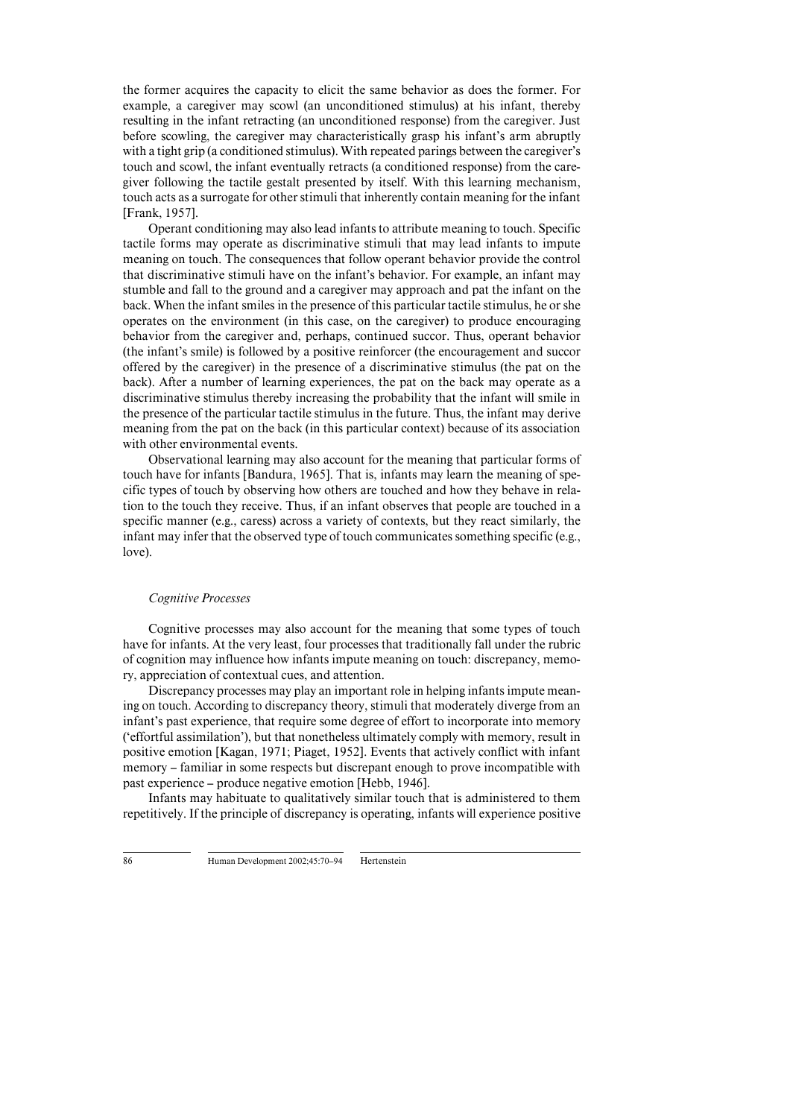the former acquires the capacity to elicit the same behavior as does the former. For example, a caregiver may scowl (an unconditioned stimulus) at his infant, thereby resulting in the infant retracting (an unconditioned response) from the caregiver. Just before scowling, the caregiver may characteristically grasp his infant's arm abruptly with a tight grip (a conditioned stimulus). With repeated parings between the caregiver's touch and scowl, the infant eventually retracts (a conditioned response) from the caregiver following the tactile gestalt presented by itself. With this learning mechanism, touch acts as a surrogate for other stimuli that inherently contain meaning for the infant [Frank, 1957].

Operant conditioning may also lead infants to attribute meaning to touch. Specific tactile forms may operate as discriminative stimuli that may lead infants to impute meaning on touch. The consequences that follow operant behavior provide the control that discriminative stimuli have on the infant's behavior. For example, an infant may stumble and fall to the ground and a caregiver may approach and pat the infant on the back. When the infant smiles in the presence of this particular tactile stimulus, he or she operates on the environment (in this case, on the caregiver) to produce encouraging behavior from the caregiver and, perhaps, continued succor. Thus, operant behavior (the infant's smile) is followed by a positive reinforcer (the encouragement and succor offered by the caregiver) in the presence of a discriminative stimulus (the pat on the back). After a number of learning experiences, the pat on the back may operate as a discriminative stimulus thereby increasing the probability that the infant will smile in the presence of the particular tactile stimulus in the future. Thus, the infant may derive meaning from the pat on the back (in this particular context) because of its association with other environmental events.

Observational learning may also account for the meaning that particular forms of touch have for infants [Bandura, 1965]. That is, infants may learn the meaning of specific types of touch by observing how others are touched and how they behave in relation to the touch they receive. Thus, if an infant observes that people are touched in a specific manner (e.g., caress) across a variety of contexts, but they react similarly, the infant may infer that the observed type of touch communicates something specific (e.g., love).

#### *Cognitive Processes*

Cognitive processes may also account for the meaning that some types of touch have for infants. At the very least, four processes that traditionally fall under the rubric of cognition may influence how infants impute meaning on touch: discrepancy, memory, appreciation of contextual cues, and attention.

Discrepancy processes may play an important role in helping infants impute meaning on touch. According to discrepancy theory, stimuli that moderately diverge from an infant's past experience, that require some degree of effort to incorporate into memory ('effortful assimilation'), but that nonetheless ultimately comply with memory, result in positive emotion [Kagan, 1971; Piaget, 1952]. Events that actively conflict with infant memory – familiar in some respects but discrepant enough to prove incompatible with past experience – produce negative emotion [Hebb, 1946].

Infants may habituate to qualitatively similar touch that is administered to them repetitively. If the principle of discrepancy is operating, infants will experience positive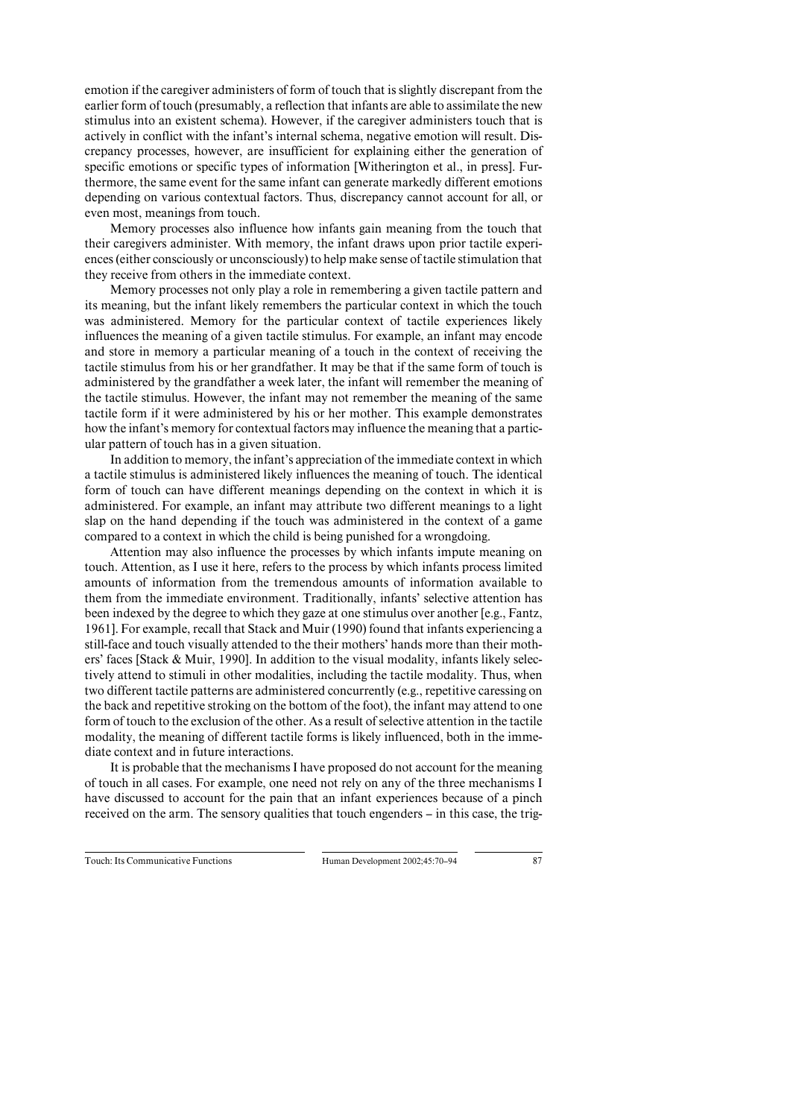emotion if the caregiver administers of form of touch that is slightly discrepant from the earlier form of touch (presumably, a reflection that infants are able to assimilate the new stimulus into an existent schema). However, if the caregiver administers touch that is actively in conflict with the infant's internal schema, negative emotion will result. Discrepancy processes, however, are insufficient for explaining either the generation of specific emotions or specific types of information [Witherington et al., in press]. Furthermore, the same event for the same infant can generate markedly different emotions depending on various contextual factors. Thus, discrepancy cannot account for all, or even most, meanings from touch.

Memory processes also influence how infants gain meaning from the touch that their caregivers administer. With memory, the infant draws upon prior tactile experiences (either consciously or unconsciously) to help make sense of tactile stimulation that they receive from others in the immediate context.

Memory processes not only play a role in remembering a given tactile pattern and its meaning, but the infant likely remembers the particular context in which the touch was administered. Memory for the particular context of tactile experiences likely influences the meaning of a given tactile stimulus. For example, an infant may encode and store in memory a particular meaning of a touch in the context of receiving the tactile stimulus from his or her grandfather. It may be that if the same form of touch is administered by the grandfather a week later, the infant will remember the meaning of the tactile stimulus. However, the infant may not remember the meaning of the same tactile form if it were administered by his or her mother. This example demonstrates how the infant's memory for contextual factors may influence the meaning that a particular pattern of touch has in a given situation.

In addition to memory, the infant's appreciation of the immediate context in which a tactile stimulus is administered likely influences the meaning of touch. The identical form of touch can have different meanings depending on the context in which it is administered. For example, an infant may attribute two different meanings to a light slap on the hand depending if the touch was administered in the context of a game compared to a context in which the child is being punished for a wrongdoing.

Attention may also influence the processes by which infants impute meaning on touch. Attention, as I use it here, refers to the process by which infants process limited amounts of information from the tremendous amounts of information available to them from the immediate environment. Traditionally, infants' selective attention has been indexed by the degree to which they gaze at one stimulus over another [e.g., Fantz, 1961]. For example, recall that Stack and Muir (1990) found that infants experiencing a still-face and touch visually attended to the their mothers' hands more than their mothers' faces [Stack & Muir, 1990]. In addition to the visual modality, infants likely selectively attend to stimuli in other modalities, including the tactile modality. Thus, when two different tactile patterns are administered concurrently (e.g., repetitive caressing on the back and repetitive stroking on the bottom of the foot), the infant may attend to one form of touch to the exclusion of the other. As a result of selective attention in the tactile modality, the meaning of different tactile forms is likely influenced, both in the immediate context and in future interactions.

It is probable that the mechanisms I have proposed do not account for the meaning of touch in all cases. For example, one need not rely on any of the three mechanisms I have discussed to account for the pain that an infant experiences because of a pinch received on the arm. The sensory qualities that touch engenders – in this case, the trig-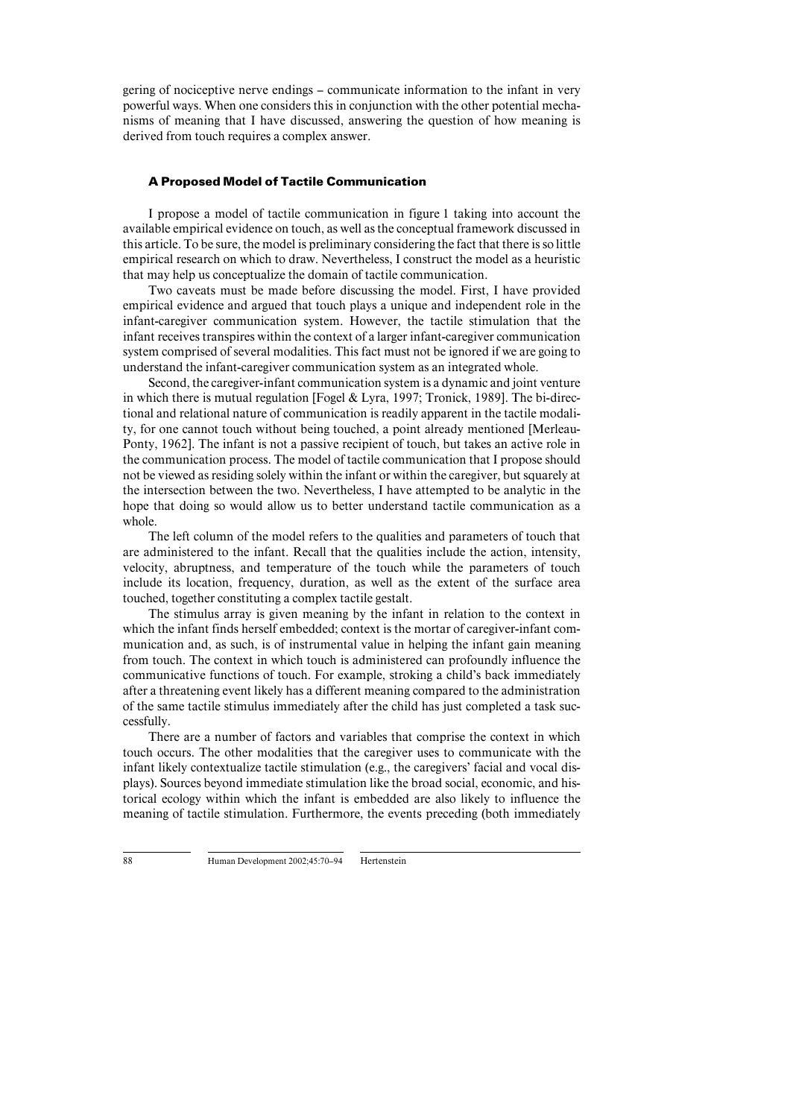gering of nociceptive nerve endings – communicate information to the infant in very powerful ways. When one considers this in conjunction with the other potential mechanisms of meaning that I have discussed, answering the question of how meaning is derived from touch requires a complex answer.

## **A Proposed Model of Tactile Communication**

I propose a model of tactile communication in figure 1 taking into account the available empirical evidence on touch, as well as the conceptual framework discussed in this article. To be sure, the model is preliminary considering the fact that there is so little empirical research on which to draw. Nevertheless, I construct the model as a heuristic that may help us conceptualize the domain of tactile communication.

Two caveats must be made before discussing the model. First, I have provided empirical evidence and argued that touch plays a unique and independent role in the infant-caregiver communication system. However, the tactile stimulation that the infant receives transpires within the context of a larger infant-caregiver communication system comprised of several modalities. This fact must not be ignored if we are going to understand the infant-caregiver communication system as an integrated whole.

Second, the caregiver-infant communication system is a dynamic and joint venture in which there is mutual regulation [Fogel & Lyra, 1997; Tronick, 1989]. The bi-directional and relational nature of communication is readily apparent in the tactile modality, for one cannot touch without being touched, a point already mentioned [Merleau-Ponty, 1962]. The infant is not a passive recipient of touch, but takes an active role in the communication process. The model of tactile communication that I propose should not be viewed as residing solely within the infant or within the caregiver, but squarely at the intersection between the two. Nevertheless, I have attempted to be analytic in the hope that doing so would allow us to better understand tactile communication as a whole.

The left column of the model refers to the qualities and parameters of touch that are administered to the infant. Recall that the qualities include the action, intensity, velocity, abruptness, and temperature of the touch while the parameters of touch include its location, frequency, duration, as well as the extent of the surface area touched, together constituting a complex tactile gestalt.

The stimulus array is given meaning by the infant in relation to the context in which the infant finds herself embedded; context is the mortar of caregiver-infant communication and, as such, is of instrumental value in helping the infant gain meaning from touch. The context in which touch is administered can profoundly influence the communicative functions of touch. For example, stroking a child's back immediately after a threatening event likely has a different meaning compared to the administration of the same tactile stimulus immediately after the child has just completed a task successfully.

There are a number of factors and variables that comprise the context in which touch occurs. The other modalities that the caregiver uses to communicate with the infant likely contextualize tactile stimulation (e.g., the caregivers' facial and vocal displays). Sources beyond immediate stimulation like the broad social, economic, and historical ecology within which the infant is embedded are also likely to influence the meaning of tactile stimulation. Furthermore, the events preceding (both immediately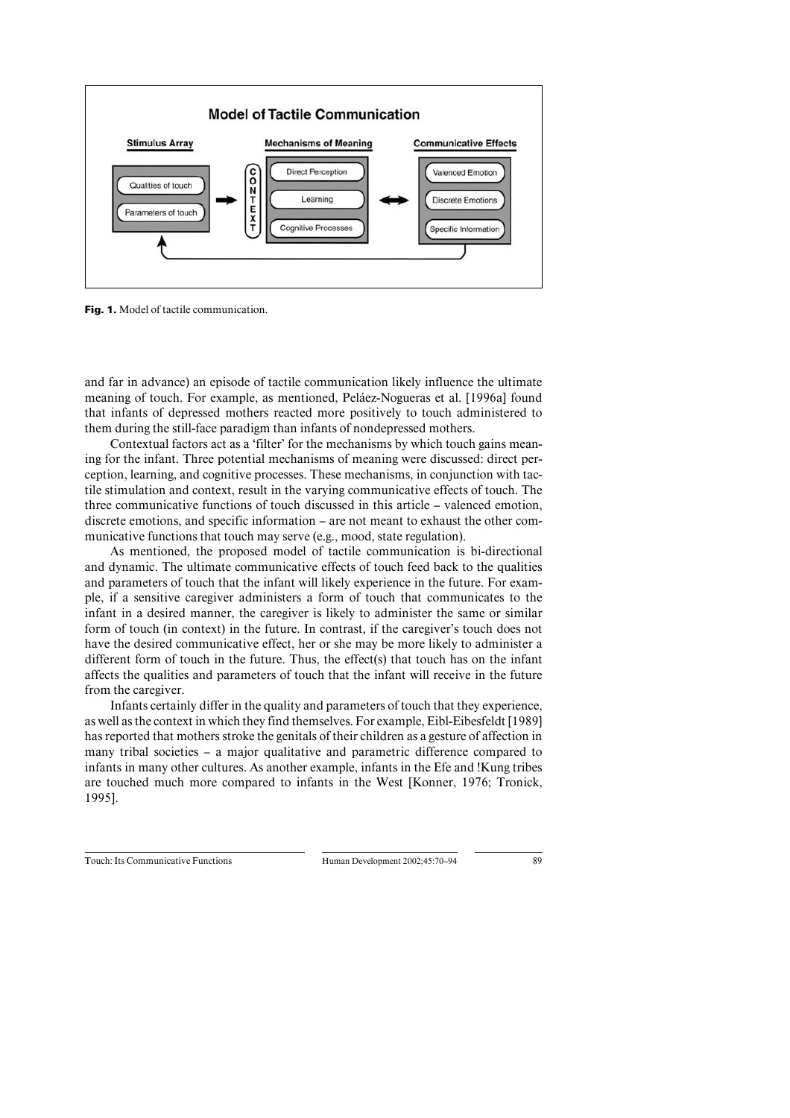

**Fig. 1.** Model of tactile communication.

and far in advance) an episode of tactile communication likely influence the ultimate meaning of touch. For example, as mentioned, Peláez-Nogueras et al. [1996a] found that infants of depressed mothers reacted more positively to touch administered to them during the still-face paradigm than infants of nondepressed mothers.

Contextual factors act as a 'filter' for the mechanisms by which touch gains meaning for the infant. Three potential mechanisms of meaning were discussed: direct perception, learning, and cognitive processes. These mechanisms, in conjunction with tactile stimulation and context, result in the varying communicative effects of touch. The three communicative functions of touch discussed in this article – valenced emotion, discrete emotions, and specific information – are not meant to exhaust the other communicative functions that touch may serve (e.g., mood, state regulation).

As mentioned, the proposed model of tactile communication is bi-directional and dynamic. The ultimate communicative effects of touch feed back to the qualities and parameters of touch that the infant will likely experience in the future. For example, if a sensitive caregiver administers a form of touch that communicates to the infant in a desired manner, the caregiver is likely to administer the same or similar form of touch (in context) in the future. In contrast, if the caregiver's touch does not have the desired communicative effect, her or she may be more likely to administer a different form of touch in the future. Thus, the effect(s) that touch has on the infant affects the qualities and parameters of touch that the infant will receive in the future from the caregiver.

Infants certainly differ in the quality and parameters of touch that they experience, as well as the context in which they find themselves. For example, Eibl-Eibesfeldt [1989] has reported that mothers stroke the genitals of their children as a gesture of affection in many tribal societies – a major qualitative and parametric difference compared to infants in many other cultures. As another example, infants in the Efe and !Kung tribes are touched much more compared to infants in the West [Konner, 1976; Tronick, 1995].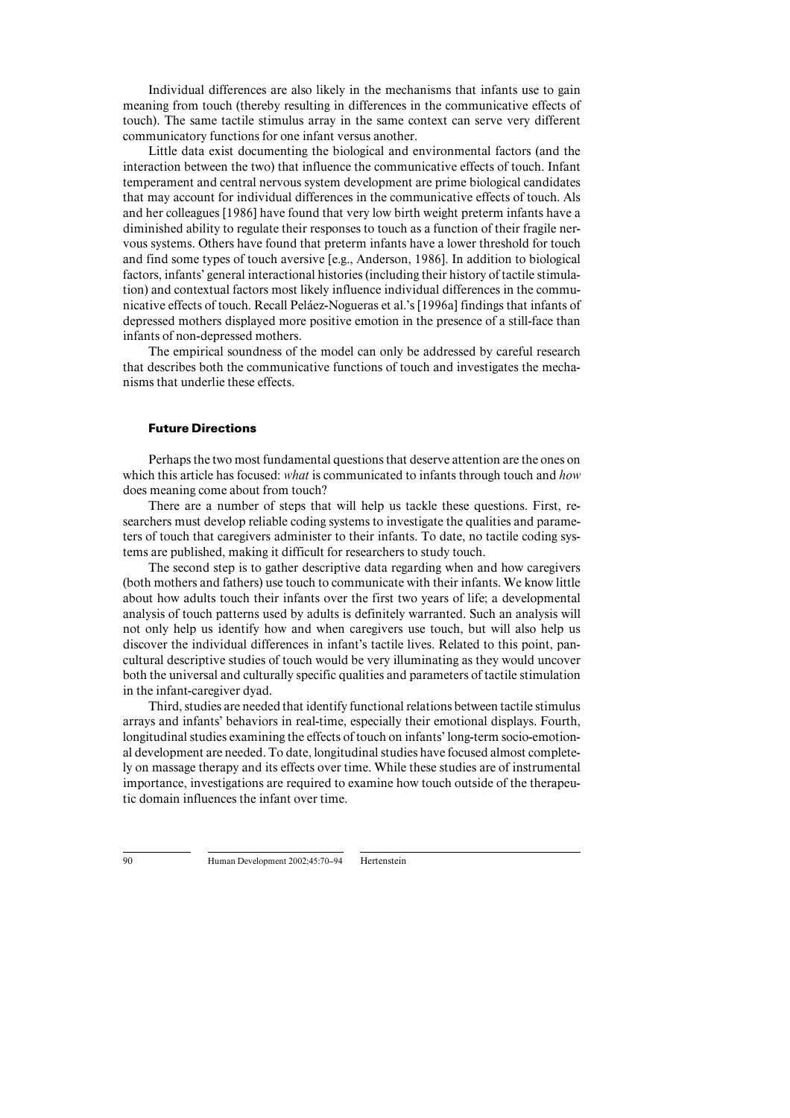Individual differences are also likely in the mechanisms that infants use to gain meaning from touch (thereby resulting in differences in the communicative effects of touch). The same tactile stimulus array in the same context can serve very different communicatory functions for one infant versus another.

Little data exist documenting the biological and environmental factors (and the interaction between the two) that influence the communicative effects of touch. Infant temperament and central nervous system development are prime biological candidates that may account for individual differences in the communicative effects of touch. Als and her colleagues [1986] have found that very low birth weight preterm infants have a diminished ability to regulate their responses to touch as a function of their fragile nervous systems. Others have found that preterm infants have a lower threshold for touch and find some types of touch aversive [e.g., Anderson, 1986]. In addition to biological factors, infants' general interactional histories (including their history of tactile stimulation) and contextual factors most likely influence individual differences in the communicative effects of touch. Recall Pelaez-Nogueras et al.'s [1996a] findings that infants of depressed mothers displayed more positive emotion in the presence of a still-face than infants of non-depressed mothers.

The empirical soundness of the model can only be addressed by careful research that describes both the communicative functions of touch and investigates the mechanisms that underlie these effects.

## **Future Directions**

Perhaps the two most fundamental questions that deserve attention are the ones on which this article has focused: *what* is communicated to infants through touch and *how* does meaning come about from touch?

There are a number of steps that will help us tackle these questions. First, researchers must develop reliable coding systems to investigate the qualities and parameters of touch that caregivers administer to their infants. To date, no tactile coding systems are published, making it difficult for researchers to study touch.

The second step is to gather descriptive data regarding when and how caregivers (both mothers and fathers) use touch to communicate with their infants. We know little about how adults touch their infants over the first two years of life; a developmental analysis of touch patterns used by adults is definitely warranted. Such an analysis will not only help us identify how and when caregivers use touch, but will also help us discover the individual differences in infant's tactile lives. Related to this point, pancultural descriptive studies of touch would be very illuminating as they would uncover both the universal and culturally specific qualities and parameters of tactile stimulation in the infant-caregiver dyad.

Third, studies are needed that identify functional relations between tactile stimulus arrays and infants' behaviors in real-time, especially their emotional displays. Fourth, longitudinal studies examining the effects of touch on infants' long-term socio-emotional development are needed. To date, longitudinal studies have focused almost completely on massage therapy and its effects over time. While these studies are of instrumental importance, investigations are required to examine how touch outside of the therapeutic domain influences the infant over time.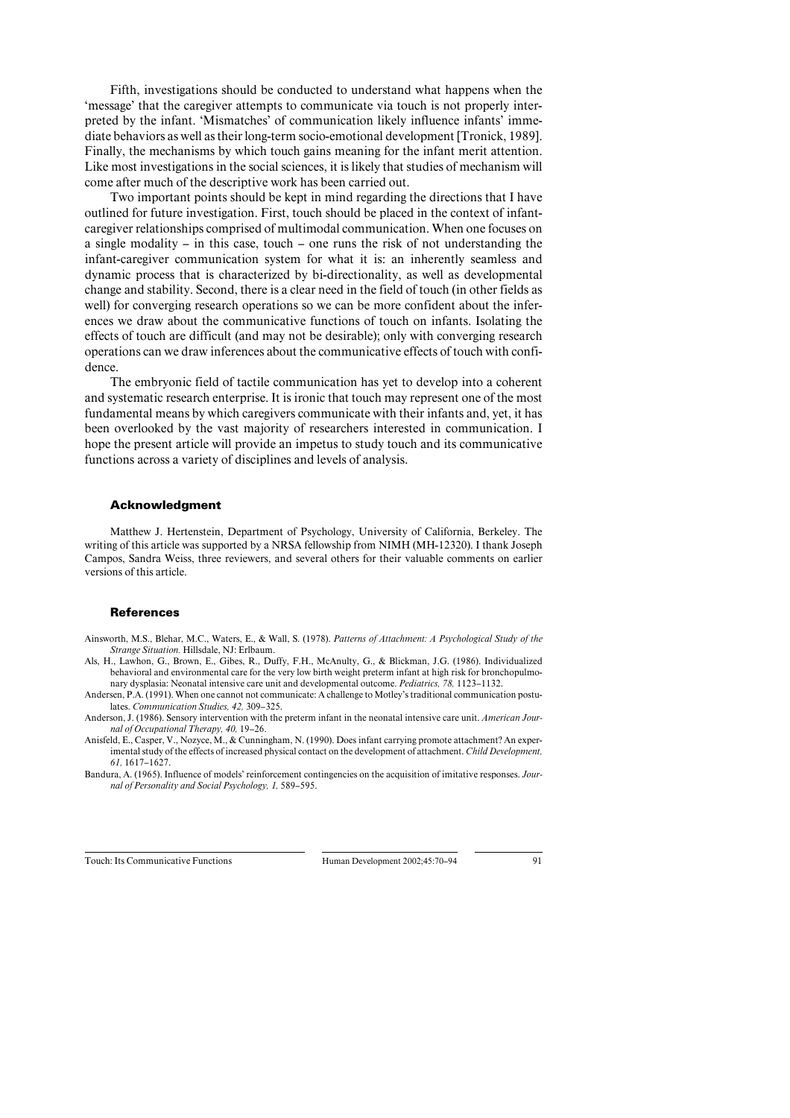Fifth, investigations should be conducted to understand what happens when the 'message' that the caregiver attempts to communicate via touch is not properly interpreted by the infant. 'Mismatches' of communication likely influence infants' immediate behaviors as well as their long-term socio-emotional development [Tronick, 1989]. Finally, the mechanisms by which touch gains meaning for the infant merit attention. Like most investigations in the social sciences, it is likely that studies of mechanism will come after much of the descriptive work has been carried out.

Two important points should be kept in mind regarding the directions that I have outlined for future investigation. First, touch should be placed in the context of infantcaregiver relationships comprised of multimodal communication. When one focuses on a single modality – in this case, touch – one runs the risk of not understanding the infant-caregiver communication system for what it is: an inherently seamless and dynamic process that is characterized by bi-directionality, as well as developmental change and stability. Second, there is a clear need in the field of touch (in other fields as well) for converging research operations so we can be more confident about the inferences we draw about the communicative functions of touch on infants. Isolating the effects of touch are difficult (and may not be desirable); only with converging research operations can we draw inferences about the communicative effects of touch with confidence.

The embryonic field of tactile communication has yet to develop into a coherent and systematic research enterprise. It is ironic that touch may represent one of the most fundamental means by which caregivers communicate with their infants and, yet, it has been overlooked by the vast majority of researchers interested in communication. I hope the present article will provide an impetus to study touch and its communicative functions across a variety of disciplines and levels of analysis.

#### **Acknowledgment**

Matthew J. Hertenstein, Department of Psychology, University of California, Berkeley. The writing of this article was supported by a NRSA fellowship from NIMH (MH-12320). I thank Joseph Campos, Sandra Weiss, three reviewers, and several others for their valuable comments on earlier versions of this article.

#### **References**

Ainsworth, M.S., Blehar, M.C., Waters, E., & Wall, S. (1978). *Patterns of Attachment: A Psychological Study of the Strange Situation.* Hillsdale, NJ: Erlbaum.

- Als, H., Lawhon, G., Brown, E., Gibes, R., Duffy, F.H., McAnulty, G., & Blickman, J.G. (1986). Individualized behavioral and environmental care for the very low birth weight preterm infant at high risk for bronchopulmonary dysplasia: Neonatal intensive care unit and developmental outcome. *Pediatrics, 78,* 1123–1132.
- Andersen, P.A. (1991). When one cannot not communicate: A challenge to Motley's traditional communication postulates. *Communication Studies, 42,* 309–325.
- Anderson, J. (1986). Sensory intervention with the preterm infant in the neonatal intensive care unit. *American Journal of Occupational Therapy, 40,* 19–26.
- Anisfeld, E., Casper, V., Nozyce, M., & Cunningham, N. (1990). Does infant carrying promote attachment? An experimental study of the effects of increased physical contact on the development of attachment. *Child Development, 61,* 1617–1627.
- Bandura, A. (1965). Influence of models' reinforcement contingencies on the acquisition of imitative responses. *Journal of Personality and Social Psychology, 1,* 589–595.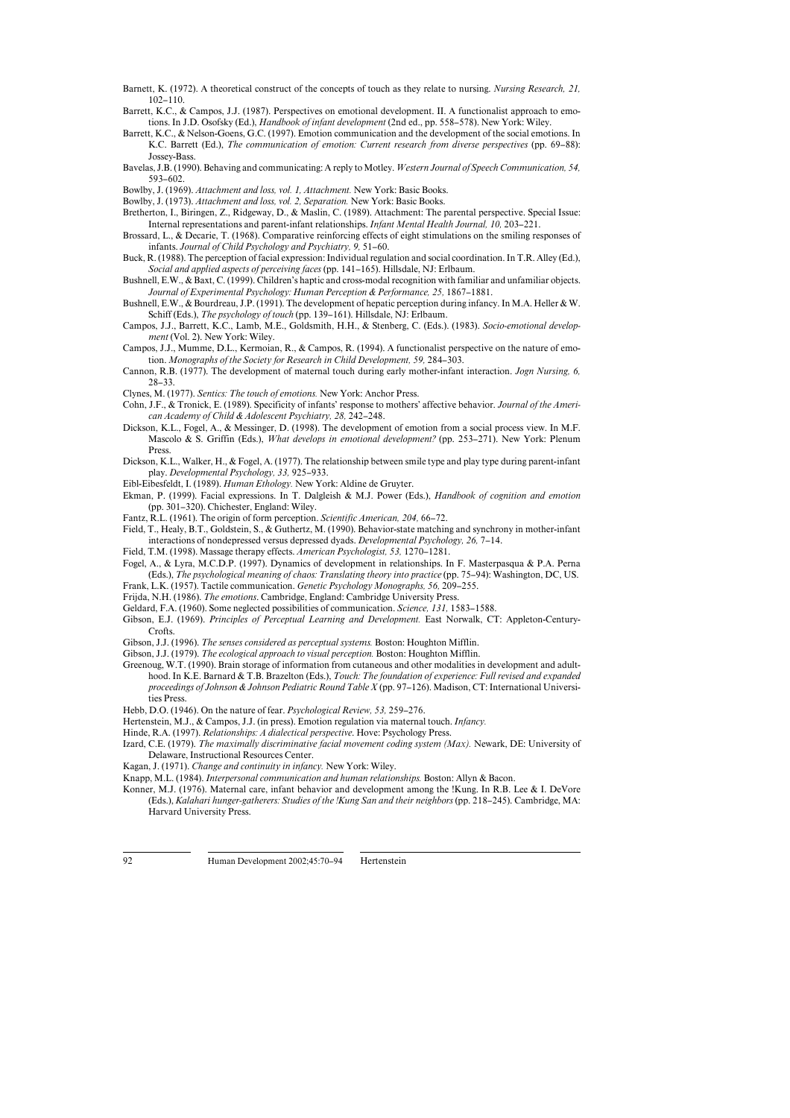Barnett, K. (1972). A theoretical construct of the concepts of touch as they relate to nursing. *Nursing Research, 21,* 102–110.

Barrett, K.C., & Campos, J.J. (1987). Perspectives on emotional development. II. A functionalist approach to emotions. In J.D. Osofsky (Ed.), *Handbook of infant development* (2nd ed., pp. 558–578). New York: Wiley.

Barrett, K.C., & Nelson-Goens, G.C. (1997). Emotion communication and the development of the social emotions. In K.C. Barrett (Ed.), *The communication of emotion: Current research from diverse perspectives* (pp. 69-88): Jossey-Bass.

Bavelas, J.B. (1990). Behaving and communicating: A reply to Motley. *Western Journal of Speech Communication, 54,* 593–602.

Bowlby, J. (1969). *Attachment and loss, vol. 1, Attachment.* New York: Basic Books.

Bowlby, J. (1973). *Attachment and loss, vol. 2, Separation.* New York: Basic Books.

Bretherton, I., Biringen, Z., Ridgeway, D., & Maslin, C. (1989). Attachment: The parental perspective. Special Issue: Internal representations and parent-infant relationships. *Infant Mental Health Journal, 10,* 203–221.

Brossard, L., & Decarie, T. (1968). Comparative reinforcing effects of eight stimulations on the smiling responses of infants. *Journal of Child Psychology and Psychiatry, 9,* 51–60.

Buck, R. (1988). The perception of facial expression: Individual regulation and social coordination. In T.R. Alley (Ed.), *Social and applied aspects of perceiving faces* (pp. 141–165). Hillsdale, NJ: Erlbaum.

Bushnell, E.W., & Baxt, C. (1999). Children's haptic and cross-modal recognition with familiar and unfamiliar objects. Journal of Experimental Psychology: Human Perception & Performance, 25, 1867–1881.

Bushnell, E.W., & Bourdreau, J.P. (1991). The development of hepatic perception during infancy. In M.A. Heller & W. Schiff (Eds.), *The psychology of touch* (pp. 139–161). Hillsdale, NJ: Erlbaum.

Campos, J.J., Barrett, K.C., Lamb, M.E., Goldsmith, H.H., & Stenberg, C. (Eds.). (1983). *Socio-emotional development* (Vol. 2). New York: Wiley.

Campos, J.J., Mumme, D.L., Kermoian, R., & Campos, R. (1994). A functionalist perspective on the nature of emotion. *Monographs of the Society for Research in Child Development, 59, 284-303.* 

Cannon, R.B. (1977). The development of maternal touch during early mother-infant interaction. *Jogn Nursing, 6,* 28–33.

Clynes, M. (1977). *Sentics: The touch of emotions.* New York: Anchor Press.

Cohn, J.F., & Tronick, E. (1989). Specificity of infants' response to mothers' affective behavior. *Journal of the American Academy of Child & Adolescent Psychiatry, 28,* 242–248.

Dickson, K.L., Fogel, A., & Messinger, D. (1998). The development of emotion from a social process view. In M.F. Mascolo & S. Griffin (Eds.), *What develops in emotional development?* (pp. 253–271). New York: Plenum Press.

Dickson, K.L., Walker, H., & Fogel, A. (1977). The relationship between smile type and play type during parent-infant play. *Developmental Psychology, 33,* 925–933.

Eibl-Eibesfeldt, I. (1989). *Human Ethology.* New York: Aldine de Gruyter.

Ekman, P. (1999). Facial expressions. In T. Dalgleish & M.J. Power (Eds.), *Handbook of cognition and emotion* (pp. 301–320). Chichester, England: Wiley.

Fantz, R.L. (1961). The origin of form perception. *Scientific American, 204,* 66–72.

Field, T., Healy, B.T., Goldstein, S., & Guthertz, M. (1990). Behavior-state matching and synchrony in mother-infant interactions of nondepressed versus depressed dyads. *Developmental Psychology, 26,* 7–14.

Field, T.M. (1998). Massage therapy effects. *American Psychologist, 53,* 1270–1281.

Fogel, A., & Lyra, M.C.D.P. (1997). Dynamics of development in relationships. In F. Masterpasqua & P.A. Perna (Eds.), *The psychological meaning of chaos: Translating theory into practice* (pp. 75–94): Washington, DC, US. Frank, L.K. (1957). Tactile communication. *Genetic Psychology Monographs, 56,* 209–255.

Frijda, N.H. (1986). *The emotions*. Cambridge, England: Cambridge University Press.

Geldard, F.A. (1960). Some neglected possibilities of communication. *Science, 131,* 1583–1588.

Gibson, E.J. (1969). *Principles of Perceptual Learning and Development.* East Norwalk, CT: Appleton-Century-Crofts.

Gibson, J.J. (1996). *The senses considered as perceptual systems.* Boston: Houghton Mifflin.

Gibson, J.J. (1979). *The ecological approach to visual perception.* Boston: Houghton Mifflin.

Greenoug, W.T. (1990). Brain storage of information from cutaneous and other modalities in development and adulthood. In K.E. Barnard & T.B. Brazelton (Eds.), *Touch: The foundation of experience: Full revised and expanded proceedings of Johnson & Johnson Pediatric Round Table X* (pp. 97–126). Madison, CT: International Universities Press.

Hebb, D.O. (1946). On the nature of fear. *Psychological Review, 53,* 259–276.

Hertenstein, M.J., & Campos, J.J. (in press). Emotion regulation via maternal touch. *Infancy.*

Hinde, R.A. (1997). *Relationships: A dialectical perspective*. Hove: Psychology Press.

Izard, C.E. (1979). *The maximally discriminative facial movement coding system (Max).* Newark, DE: University of Delaware, Instructional Resources Center.

Kagan, J. (1971). *Change and continuity in infancy.* New York: Wiley.

Knapp, M.L. (1984). *Interpersonal communication and human relationships.* Boston: Allyn & Bacon.

Konner, M.J. (1976). Maternal care, infant behavior and development among the !Kung. In R.B. Lee & I. DeVore (Eds.), *Kalahari hunger-gatherers: Studies of the !Kung San and their neighbors* (pp. 218–245). Cambridge, MA: Harvard University Press.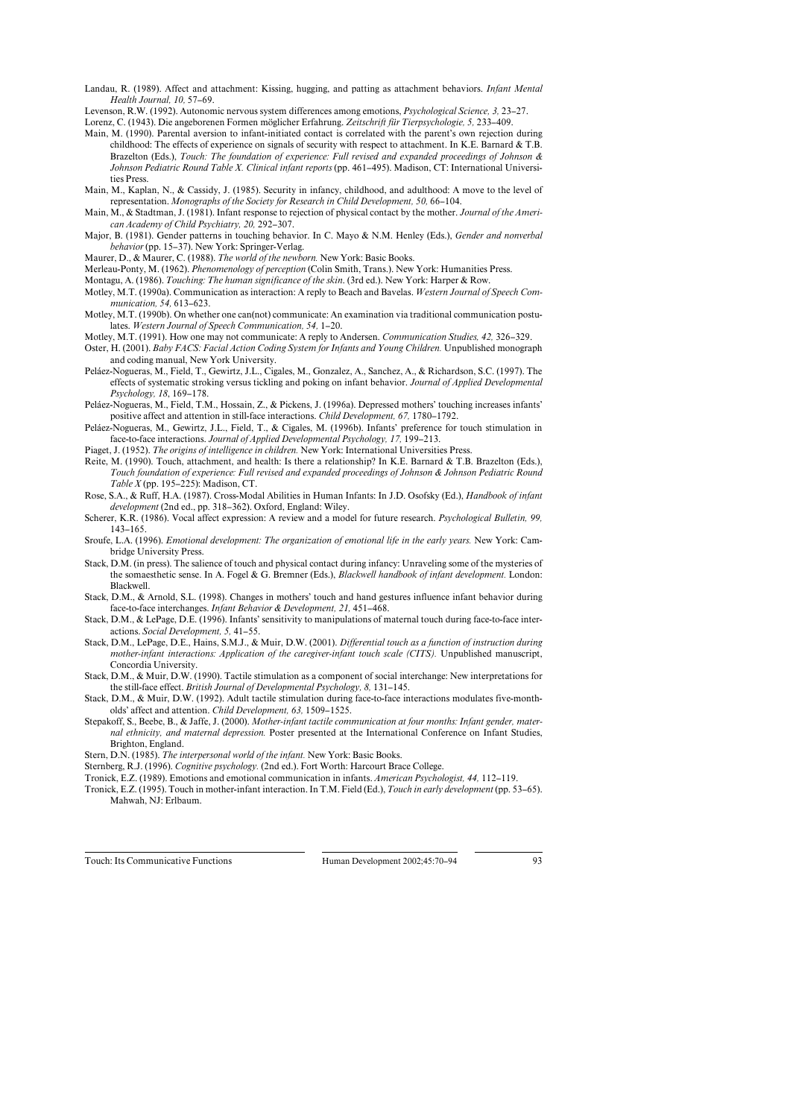- Landau, R. (1989). Affect and attachment: Kissing, hugging, and patting as attachment behaviors. *Infant Mental Health Journal, 10,* 57–69.
- Levenson, R.W. (1992). Autonomic nervous system differences among emotions, *Psychological Science, 3,* 23–27.
- Lorenz, C. (1943). Die angeborenen Formen möglicher Erfahrung. *Zeitschrift für Tierpsychologie, 5,* 233–409. Main, M. (1990). Parental aversion to infant-initiated contact is correlated with the parent's own rejection during
- childhood: The effects of experience on signals of security with respect to attachment. In K.E. Barnard & T.B. Brazelton (Eds.), *Touch: The foundation of experience: Full revised and expanded proceedings of Johnson &* Johnson Pediatric Round Table X. Clinical infant reports (pp. 461-495). Madison, CT: International Universities Press.
- Main, M., Kaplan, N., & Cassidy, J. (1985). Security in infancy, childhood, and adulthood: A move to the level of representation. *Monographs of the Society for Research in Child Development, 50, 66-104.*
- Main, M., & Stadtman, J. (1981). Infant response to rejection of physical contact by the mother. *Journal of the American Academy of Child Psychiatry, 20,* 292–307.
- Major, B. (1981). Gender patterns in touching behavior. In C. Mayo & N.M. Henley (Eds.), *Gender and nonverbal behavior* (pp. 15–37). New York: Springer-Verlag.
- Maurer, D., & Maurer, C. (1988). *The world of the newborn.* New York: Basic Books.
- Merleau-Ponty, M. (1962). *Phenomenology of perception* (Colin Smith, Trans.). New York: Humanities Press.
- Montagu, A. (1986). *Touching: The human significance of the skin*. (3rd ed.). New York: Harper & Row.
- Motley, M.T. (1990a). Communication as interaction: A reply to Beach and Bavelas. *Western Journal of Speech Communication, 54,* 613–623.
- Motley, M.T. (1990b). On whether one can(not) communicate: An examination via traditional communication postulates. *Western Journal of Speech Communication, 54,* 1–20.
- Motley, M.T. (1991). How one may not communicate: A reply to Andersen. *Communication Studies, 42,* 326–329.
- Oster, H. (2001). *Baby FACS: Facial Action Coding System for Infants and Young Children.* Unpublished monograph and coding manual, New York University.
- Peláez-Nogueras, M., Field, T., Gewirtz, J.L., Cigales, M., Gonzalez, A., Sanchez, A., & Richardson, S.C. (1997). The effects of systematic stroking versus tickling and poking on infant behavior. *Journal of Applied Developmental Psychology, 18*, 169–178.

Peláez-Nogueras, M., Field, T.M., Hossain, Z., & Pickens, J. (1996a). Depressed mothers' touching increases infants' positive affect and attention in still-face interactions. *Child Development, 67,* 1780–1792.

- Peláez-Nogueras, M., Gewirtz, J.L., Field, T., & Cigales, M. (1996b). Infants' preference for touch stimulation in face-to-face interactions. *Journal of Applied Developmental Psychology, 17,* 199–213.
- Piaget, J. (1952). *The origins of intelligence in children.* New York: International Universities Press.
- Reite, M. (1990). Touch, attachment, and health: Is there a relationship? In K.E. Barnard & T.B. Brazelton (Eds.), *Touch foundation of experience: Full revised and expanded proceedings of Johnson & Johnson Pediatric Round Table X* (pp. 195–225): Madison, CT.
- Rose, S.A., & Ruff, H.A. (1987). Cross-Modal Abilities in Human Infants: In J.D. Osofsky (Ed.), *Handbook of infant development* (2nd ed., pp. 318–362). Oxford, England: Wiley.
- Scherer, K.R. (1986). Vocal affect expression: A review and a model for future research. *Psychological Bulletin, 99,* 143–165.
- Sroufe, L.A. (1996). *Emotional development: The organization of emotional life in the early years.* New York: Cambridge University Press.
- Stack, D.M. (in press). The salience of touch and physical contact during infancy: Unraveling some of the mysteries of the somaesthetic sense. In A. Fogel & G. Bremner (Eds.), *Blackwell handbook of infant development.* London: Blackwell.
- Stack, D.M., & Arnold, S.L. (1998). Changes in mothers' touch and hand gestures influence infant behavior during face-to-face interchanges. *Infant Behavior & Development, 21,* 451–468.
- Stack, D.M., & LePage, D.E. (1996). Infants' sensitivity to manipulations of maternal touch during face-to-face interactions. *Social Development, 5,* 41–55.
- Stack, D.M., LePage, D.E., Hains, S.M.J., & Muir, D.W. (2001). *Differential touch as a function of instruction during mother-infant interactions: Application of the caregiver-infant touch scale (CITS)*. Unpublished manuscript, Concordia University.
- Stack, D.M., & Muir, D.W. (1990). Tactile stimulation as a component of social interchange: New interpretations for the still-face effect. *British Journal of Developmental Psychology, 8,* 131–145.
- Stack, D.M., & Muir, D.W. (1992). Adult tactile stimulation during face-to-face interactions modulates five-montholds' affect and attention. *Child Development, 63,* 1509–1525.
- Stepakoff, S., Beebe, B., & Jaffe, J. (2000). *Mother-infant tactile communication at four months: Infant gender, maternal ethnicity, and maternal depression.* Poster presented at the International Conference on Infant Studies, Brighton, England.
- Stern, D.N. (1985). *The interpersonal world of the infant.* New York: Basic Books.
- Sternberg, R.J. (1996). *Cognitive psychology.* (2nd ed.). Fort Worth: Harcourt Brace College.
- Tronick, E.Z. (1989). Emotions and emotional communication in infants. *American Psychologist, 44,* 112–119.
- Tronick, E.Z. (1995). Touch in mother-infant interaction. In T.M. Field (Ed.), *Touch in early development* (pp. 53–65). Mahwah, NJ: Erlbaum.